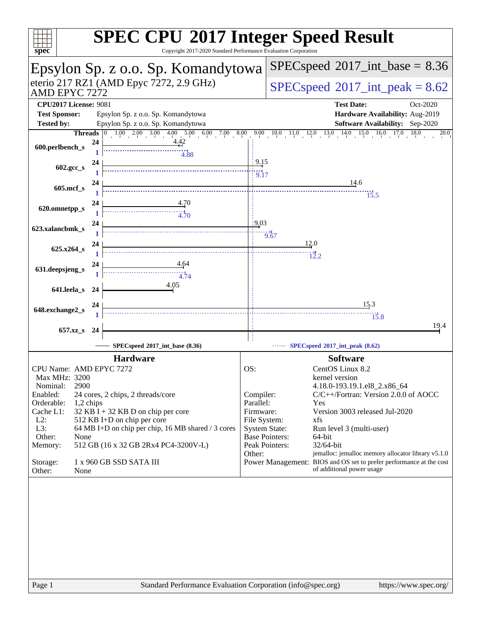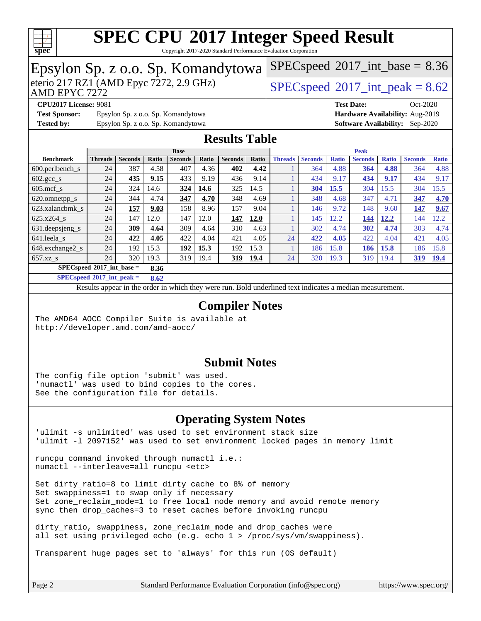

Copyright 2017-2020 Standard Performance Evaluation Corporation

#### Epsylon Sp. z o.o. Sp. Komandytowa<br>eterio 217 RZ1 (AMD Epyc 7272, 2.9 GHz) AMD EPYC 7272  $SPECspeed@2017<sub>int</sub> peak = 8.62$  $SPECspeed@2017<sub>int</sub> peak = 8.62$  $SPECspeed^{\circ}2017\_int\_base = 8.36$  $SPECspeed^{\circ}2017\_int\_base = 8.36$ **[CPU2017 License:](http://www.spec.org/auto/cpu2017/Docs/result-fields.html#CPU2017License)** 9081 **[Test Date:](http://www.spec.org/auto/cpu2017/Docs/result-fields.html#TestDate)** Oct-2020 **[Test Sponsor:](http://www.spec.org/auto/cpu2017/Docs/result-fields.html#TestSponsor)** Epsylon Sp. z o.o. Sp. Komandytowa **[Hardware Availability:](http://www.spec.org/auto/cpu2017/Docs/result-fields.html#HardwareAvailability)** Aug-2019 **[Tested by:](http://www.spec.org/auto/cpu2017/Docs/result-fields.html#Testedby)** Epsylon Sp. z o.o. Sp. Komandytowa **[Software Availability:](http://www.spec.org/auto/cpu2017/Docs/result-fields.html#SoftwareAvailability)** Sep-2020 **[Results Table](http://www.spec.org/auto/cpu2017/Docs/result-fields.html#ResultsTable) [Benchmark](http://www.spec.org/auto/cpu2017/Docs/result-fields.html#Benchmark) [Threads](http://www.spec.org/auto/cpu2017/Docs/result-fields.html#Threads) [Seconds](http://www.spec.org/auto/cpu2017/Docs/result-fields.html#Seconds) [Ratio](http://www.spec.org/auto/cpu2017/Docs/result-fields.html#Ratio) [Seconds](http://www.spec.org/auto/cpu2017/Docs/result-fields.html#Seconds) [Ratio](http://www.spec.org/auto/cpu2017/Docs/result-fields.html#Ratio) [Seconds](http://www.spec.org/auto/cpu2017/Docs/result-fields.html#Seconds) [Ratio](http://www.spec.org/auto/cpu2017/Docs/result-fields.html#Ratio) Base [Threads](http://www.spec.org/auto/cpu2017/Docs/result-fields.html#Threads) [Seconds](http://www.spec.org/auto/cpu2017/Docs/result-fields.html#Seconds) [Ratio](http://www.spec.org/auto/cpu2017/Docs/result-fields.html#Ratio) [Seconds](http://www.spec.org/auto/cpu2017/Docs/result-fields.html#Seconds) [Ratio](http://www.spec.org/auto/cpu2017/Docs/result-fields.html#Ratio) [Seconds](http://www.spec.org/auto/cpu2017/Docs/result-fields.html#Seconds) [Ratio](http://www.spec.org/auto/cpu2017/Docs/result-fields.html#Ratio) Peak** [600.perlbench\\_s](http://www.spec.org/auto/cpu2017/Docs/benchmarks/600.perlbench_s.html) 24 387 4.58 407 4.36 **[402](http://www.spec.org/auto/cpu2017/Docs/result-fields.html#Median) [4.42](http://www.spec.org/auto/cpu2017/Docs/result-fields.html#Median)** 1 364 4.88 **[364](http://www.spec.org/auto/cpu2017/Docs/result-fields.html#Median) [4.88](http://www.spec.org/auto/cpu2017/Docs/result-fields.html#Median)** 364 4.88 [602.gcc\\_s](http://www.spec.org/auto/cpu2017/Docs/benchmarks/602.gcc_s.html) 24 **[435](http://www.spec.org/auto/cpu2017/Docs/result-fields.html#Median) [9.15](http://www.spec.org/auto/cpu2017/Docs/result-fields.html#Median)** 433 9.19 436 9.14 1 434 9.17 **[434](http://www.spec.org/auto/cpu2017/Docs/result-fields.html#Median) [9.17](http://www.spec.org/auto/cpu2017/Docs/result-fields.html#Median)** 434 9.17 [605.mcf\\_s](http://www.spec.org/auto/cpu2017/Docs/benchmarks/605.mcf_s.html) 24 324 14.6 **[324](http://www.spec.org/auto/cpu2017/Docs/result-fields.html#Median) [14.6](http://www.spec.org/auto/cpu2017/Docs/result-fields.html#Median)** 325 14.5 1 **[304](http://www.spec.org/auto/cpu2017/Docs/result-fields.html#Median) [15.5](http://www.spec.org/auto/cpu2017/Docs/result-fields.html#Median)** 304 15.5 304 15.5 [620.omnetpp\\_s](http://www.spec.org/auto/cpu2017/Docs/benchmarks/620.omnetpp_s.html) 24 344 4.74 **[347](http://www.spec.org/auto/cpu2017/Docs/result-fields.html#Median) [4.70](http://www.spec.org/auto/cpu2017/Docs/result-fields.html#Median)** 348 4.69 1 348 4.68 347 4.71 **[347](http://www.spec.org/auto/cpu2017/Docs/result-fields.html#Median) [4.70](http://www.spec.org/auto/cpu2017/Docs/result-fields.html#Median)** [623.xalancbmk\\_s](http://www.spec.org/auto/cpu2017/Docs/benchmarks/623.xalancbmk_s.html) 24 **[157](http://www.spec.org/auto/cpu2017/Docs/result-fields.html#Median) [9.03](http://www.spec.org/auto/cpu2017/Docs/result-fields.html#Median)** 158 8.96 157 9.04 1 146 9.72 148 9.60 **[147](http://www.spec.org/auto/cpu2017/Docs/result-fields.html#Median) [9.67](http://www.spec.org/auto/cpu2017/Docs/result-fields.html#Median)** [625.x264\\_s](http://www.spec.org/auto/cpu2017/Docs/benchmarks/625.x264_s.html) 24 147 12.0 147 12.0 **[147](http://www.spec.org/auto/cpu2017/Docs/result-fields.html#Median) [12.0](http://www.spec.org/auto/cpu2017/Docs/result-fields.html#Median)** 1 145 12.2 **[144](http://www.spec.org/auto/cpu2017/Docs/result-fields.html#Median) [12.2](http://www.spec.org/auto/cpu2017/Docs/result-fields.html#Median)** 144 12.2 [631.deepsjeng\\_s](http://www.spec.org/auto/cpu2017/Docs/benchmarks/631.deepsjeng_s.html) 24 **[309](http://www.spec.org/auto/cpu2017/Docs/result-fields.html#Median) [4.64](http://www.spec.org/auto/cpu2017/Docs/result-fields.html#Median)** 309 4.64 310 4.63 1 302 4.74 **[302](http://www.spec.org/auto/cpu2017/Docs/result-fields.html#Median) [4.74](http://www.spec.org/auto/cpu2017/Docs/result-fields.html#Median)** 303 4.74 [641.leela\\_s](http://www.spec.org/auto/cpu2017/Docs/benchmarks/641.leela_s.html) 24 **[422](http://www.spec.org/auto/cpu2017/Docs/result-fields.html#Median) [4.05](http://www.spec.org/auto/cpu2017/Docs/result-fields.html#Median)** 422 4.04 421 4.05 24 **[422](http://www.spec.org/auto/cpu2017/Docs/result-fields.html#Median) [4.05](http://www.spec.org/auto/cpu2017/Docs/result-fields.html#Median)** 422 4.04 421 4.05 [648.exchange2\\_s](http://www.spec.org/auto/cpu2017/Docs/benchmarks/648.exchange2_s.html) 24 192 15.3 **[192](http://www.spec.org/auto/cpu2017/Docs/result-fields.html#Median) [15.3](http://www.spec.org/auto/cpu2017/Docs/result-fields.html#Median)** 192 15.3 1 186 15.8 **[186](http://www.spec.org/auto/cpu2017/Docs/result-fields.html#Median) [15.8](http://www.spec.org/auto/cpu2017/Docs/result-fields.html#Median)** 186 15.8 [657.xz\\_s](http://www.spec.org/auto/cpu2017/Docs/benchmarks/657.xz_s.html) 24 320 19.3 319 19.4 **[319](http://www.spec.org/auto/cpu2017/Docs/result-fields.html#Median) [19.4](http://www.spec.org/auto/cpu2017/Docs/result-fields.html#Median)** 24 320 19.3 319 19.4 **[319](http://www.spec.org/auto/cpu2017/Docs/result-fields.html#Median) [19.4](http://www.spec.org/auto/cpu2017/Docs/result-fields.html#Median) [SPECspeed](http://www.spec.org/auto/cpu2017/Docs/result-fields.html#SPECspeed2017intbase)[2017\\_int\\_base =](http://www.spec.org/auto/cpu2017/Docs/result-fields.html#SPECspeed2017intbase) 8.36 [SPECspeed](http://www.spec.org/auto/cpu2017/Docs/result-fields.html#SPECspeed2017intpeak)[2017\\_int\\_peak =](http://www.spec.org/auto/cpu2017/Docs/result-fields.html#SPECspeed2017intpeak) 8.62** Results appear in the [order in which they were run.](http://www.spec.org/auto/cpu2017/Docs/result-fields.html#RunOrder) Bold underlined text [indicates a median measurement](http://www.spec.org/auto/cpu2017/Docs/result-fields.html#Median). **[Compiler Notes](http://www.spec.org/auto/cpu2017/Docs/result-fields.html#CompilerNotes)** The AMD64 AOCC Compiler Suite is available at <http://developer.amd.com/amd-aocc/> **[Submit Notes](http://www.spec.org/auto/cpu2017/Docs/result-fields.html#SubmitNotes)** The config file option 'submit' was used. 'numactl' was used to bind copies to the cores. See the configuration file for details. **[Operating System Notes](http://www.spec.org/auto/cpu2017/Docs/result-fields.html#OperatingSystemNotes)** 'ulimit -s unlimited' was used to set environment stack size 'ulimit -l 2097152' was used to set environment locked pages in memory limit runcpu command invoked through numactl i.e.: numactl --interleave=all runcpu <etc> Set dirty\_ratio=8 to limit dirty cache to 8% of memory Set swappiness=1 to swap only if necessary

Set zone\_reclaim\_mode=1 to free local node memory and avoid remote memory sync then drop\_caches=3 to reset caches before invoking runcpu

dirty ratio, swappiness, zone reclaim mode and drop caches were all set using privileged echo (e.g. echo 1 > /proc/sys/vm/swappiness).

Transparent huge pages set to 'always' for this run (OS default)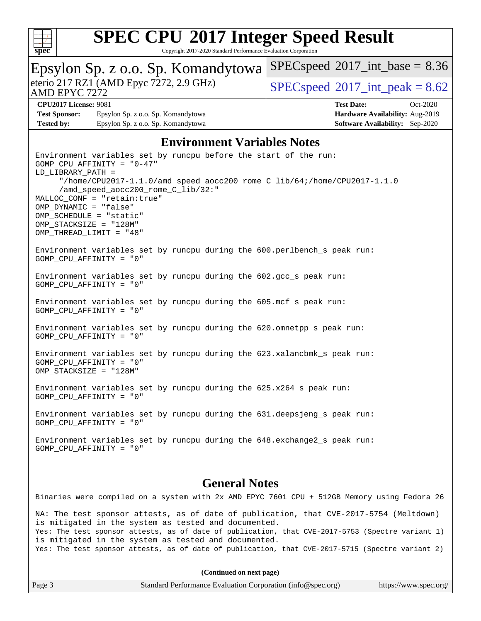

Copyright 2017-2020 Standard Performance Evaluation Corporation

| Epsylon Sp. z o.o. Sp. Komandytowa                                                              |                                                                                                                                                                                                                                                   |  | $SPEC speed^{\circ}2017\_int\_base = 8.36$ |  |                                    |                   |                                        |          |
|-------------------------------------------------------------------------------------------------|---------------------------------------------------------------------------------------------------------------------------------------------------------------------------------------------------------------------------------------------------|--|--------------------------------------------|--|------------------------------------|-------------------|----------------------------------------|----------|
| eterio 217 RZ1 (AMD Epyc 7272, 2.9 GHz)<br>AMD EPYC 7272                                        |                                                                                                                                                                                                                                                   |  | $SPEC speed^{\circ}2017\_int\_peak = 8.62$ |  |                                    |                   |                                        |          |
| <b>CPU2017 License: 9081</b>                                                                    |                                                                                                                                                                                                                                                   |  |                                            |  |                                    | <b>Test Date:</b> |                                        | Oct-2020 |
| <b>Test Sponsor:</b>                                                                            | Epsylon Sp. z o.o. Sp. Komandytowa                                                                                                                                                                                                                |  |                                            |  |                                    |                   | Hardware Availability: Aug-2019        |          |
| <b>Tested by:</b>                                                                               | Epsylon Sp. z o.o. Sp. Komandytowa                                                                                                                                                                                                                |  |                                            |  |                                    |                   | <b>Software Availability:</b> Sep-2020 |          |
|                                                                                                 |                                                                                                                                                                                                                                                   |  |                                            |  | <b>Environment Variables Notes</b> |                   |                                        |          |
| LD_LIBRARY_PATH =<br>OMP_DYNAMIC = "false"<br>OMP_SCHEDULE = "static"<br>OMP STACKSIZE = "128M" | Environment variables set by runcpu before the start of the run:<br>$GOMP_CPU_AFFINITY = "0-47"$<br>"/home/CPU2017-1.1.0/amd_speed_aocc200_rome_C_lib/64;/home/CPU2017-1.1.0<br>/amd_speed_aocc200_rome_C_lib/32:"<br>MALLOC_CONF = "retain:true" |  |                                            |  |                                    |                   |                                        |          |
| OMP_THREAD_LIMIT = "48"<br>$GOMP_CPU_AFFINITY = "0"$                                            | Environment variables set by runcpu during the 600.perlbench_s peak run:                                                                                                                                                                          |  |                                            |  |                                    |                   |                                        |          |
| GOMP_CPU_AFFINITY = "0"                                                                         | Environment variables set by runcpu during the 602.gcc_s peak run:                                                                                                                                                                                |  |                                            |  |                                    |                   |                                        |          |
| GOMP_CPU_AFFINITY = "0"                                                                         | Environment variables set by runcpu during the 605.mcf_s peak run:                                                                                                                                                                                |  |                                            |  |                                    |                   |                                        |          |
| GOMP_CPU_AFFINITY = "0"                                                                         | Environment variables set by runcpu during the 620.omnetpp_s peak run:                                                                                                                                                                            |  |                                            |  |                                    |                   |                                        |          |
| GOMP_CPU_AFFINITY = "0"<br>OMP_STACKSIZE = "128M"                                               | Environment variables set by runcpu during the 623.xalancbmk_s peak run:                                                                                                                                                                          |  |                                            |  |                                    |                   |                                        |          |
| GOMP CPU AFFINITY = "0"                                                                         | Environment variables set by runcpu during the 625.x264_s peak run:                                                                                                                                                                               |  |                                            |  |                                    |                   |                                        |          |
| GOMP_CPU_AFFINITY = "0"                                                                         | Environment variables set by runcpu during the 631.deepsjeng_s peak run:                                                                                                                                                                          |  |                                            |  |                                    |                   |                                        |          |
|                                                                                                 | Environment variables set by runcpu during the 648. exchange2_s peak run:<br>GOMP_CPU_AFFINITY = "0"                                                                                                                                              |  |                                            |  |                                    |                   |                                        |          |
|                                                                                                 |                                                                                                                                                                                                                                                   |  | Conoral Notos                              |  |                                    |                   |                                        |          |

### **[General Notes](http://www.spec.org/auto/cpu2017/Docs/result-fields.html#GeneralNotes)**

Binaries were compiled on a system with 2x AMD EPYC 7601 CPU + 512GB Memory using Fedora 26 NA: The test sponsor attests, as of date of publication, that CVE-2017-5754 (Meltdown) is mitigated in the system as tested and documented. Yes: The test sponsor attests, as of date of publication, that CVE-2017-5753 (Spectre variant 1) is mitigated in the system as tested and documented. Yes: The test sponsor attests, as of date of publication, that CVE-2017-5715 (Spectre variant 2)

| Page 3<br>Standard Performance Evaluation Corporation (info@spec.org)<br>https://www.spec.org/ |
|------------------------------------------------------------------------------------------------|
|------------------------------------------------------------------------------------------------|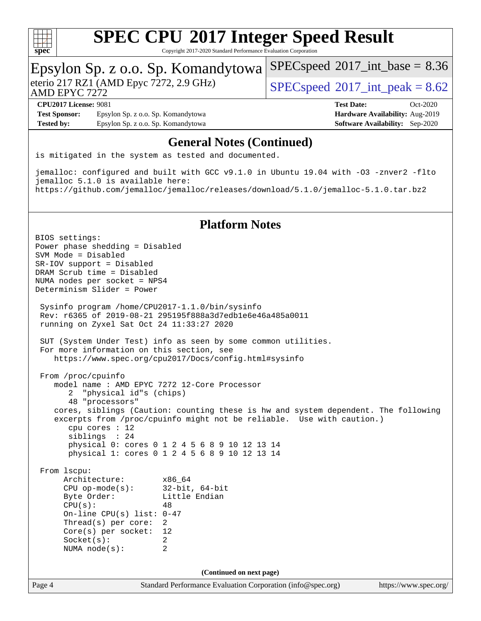

Copyright 2017-2020 Standard Performance Evaluation Corporation

### Epsylon Sp. z o.o. Sp. Komandytowa

AMD EPYC 7272

eterio 217 RZ1 (AMD Epyc 7272, 2.9 GHz)  $\text{SPEC speed} \textcircled{ } 2017 \text{ int peak} = 8.62$ 

 $SPECspeed^{\circ}2017\_int\_base = 8.36$  $SPECspeed^{\circ}2017\_int\_base = 8.36$ 

**[Test Sponsor:](http://www.spec.org/auto/cpu2017/Docs/result-fields.html#TestSponsor)** Epsylon Sp. z o.o. Sp. Komandytowa **[Hardware Availability:](http://www.spec.org/auto/cpu2017/Docs/result-fields.html#HardwareAvailability)** Aug-2019 **[Tested by:](http://www.spec.org/auto/cpu2017/Docs/result-fields.html#Testedby)** Epsylon Sp. z o.o. Sp. Komandytowa **[Software Availability:](http://www.spec.org/auto/cpu2017/Docs/result-fields.html#SoftwareAvailability)** Sep-2020

# **[CPU2017 License:](http://www.spec.org/auto/cpu2017/Docs/result-fields.html#CPU2017License)** 9081 **[Test Date:](http://www.spec.org/auto/cpu2017/Docs/result-fields.html#TestDate)** Oct-2020

### **[General Notes \(Continued\)](http://www.spec.org/auto/cpu2017/Docs/result-fields.html#GeneralNotes)**

is mitigated in the system as tested and documented.

jemalloc: configured and built with GCC v9.1.0 in Ubuntu 19.04 with -O3 -znver2 -flto jemalloc 5.1.0 is available here: <https://github.com/jemalloc/jemalloc/releases/download/5.1.0/jemalloc-5.1.0.tar.bz2>

### **[Platform Notes](http://www.spec.org/auto/cpu2017/Docs/result-fields.html#PlatformNotes)**

Page 4 Standard Performance Evaluation Corporation [\(info@spec.org\)](mailto:info@spec.org) <https://www.spec.org/> BIOS settings: Power phase shedding = Disabled SVM Mode = Disabled SR-IOV support = Disabled DRAM Scrub time = Disabled NUMA nodes per socket = NPS4 Determinism Slider = Power Sysinfo program /home/CPU2017-1.1.0/bin/sysinfo Rev: r6365 of 2019-08-21 295195f888a3d7edb1e6e46a485a0011 running on Zyxel Sat Oct 24 11:33:27 2020 SUT (System Under Test) info as seen by some common utilities. For more information on this section, see <https://www.spec.org/cpu2017/Docs/config.html#sysinfo> From /proc/cpuinfo model name : AMD EPYC 7272 12-Core Processor 2 "physical id"s (chips) 48 "processors" cores, siblings (Caution: counting these is hw and system dependent. The following excerpts from /proc/cpuinfo might not be reliable. Use with caution.) cpu cores : 12 siblings : 24 physical 0: cores 0 1 2 4 5 6 8 9 10 12 13 14 physical 1: cores 0 1 2 4 5 6 8 9 10 12 13 14 From lscpu: Architecture: x86\_64 CPU op-mode(s): 32-bit, 64-bit Byte Order: Little Endian  $CPU(s):$  48 On-line CPU(s) list: 0-47 Thread(s) per core: 2 Core(s) per socket: 12 Socket(s): 2 NUMA node(s): 2 **(Continued on next page)**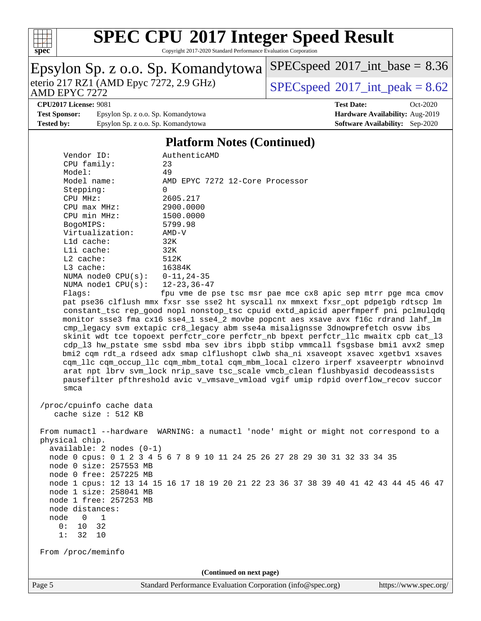

Copyright 2017-2020 Standard Performance Evaluation Corporation

# Epsylon Sp. z o.o. Sp. Komandytowa<br>eterio 217 RZ1 (AMD Epyc 7272, 2.9 GHz)

 $SPECspeed*2017\_int\_peak = 8.62$  $SPECspeed*2017\_int\_peak = 8.62$ 

 $SPEC speed$ <sup>®</sup> $2017$ \_int\_base = 8.36

#### AMD EPYC 7272 **[CPU2017 License:](http://www.spec.org/auto/cpu2017/Docs/result-fields.html#CPU2017License)** 9081 **[Test Date:](http://www.spec.org/auto/cpu2017/Docs/result-fields.html#TestDate)** Oct-2020

[Test Sponsor:](http://www.spec.org/auto/cpu2017/Docs/result-fields.html#TestSponsor) Epsylon Sp. z o.o. Sp. Komandytowa **[Hardware Availability:](http://www.spec.org/auto/cpu2017/Docs/result-fields.html#HardwareAvailability)** Aug-2019 **[Tested by:](http://www.spec.org/auto/cpu2017/Docs/result-fields.html#Testedby)** Epsylon Sp. z o.o. Sp. Komandytowa **[Software Availability:](http://www.spec.org/auto/cpu2017/Docs/result-fields.html#SoftwareAvailability)** Sep-2020

### **[Platform Notes \(Continued\)](http://www.spec.org/auto/cpu2017/Docs/result-fields.html#PlatformNotes)**

|      | Vendor ID:                        | AuthenticAMD                                                                         |
|------|-----------------------------------|--------------------------------------------------------------------------------------|
|      | CPU family:                       | 23                                                                                   |
|      | Model:                            | 49                                                                                   |
|      | Model name:                       | AMD EPYC 7272 12-Core Processor                                                      |
|      | Stepping:                         | $\Omega$                                                                             |
|      | CPU MHz:                          | 2605.217                                                                             |
|      | CPU max MHz:                      | 2900.0000                                                                            |
|      | CPU min MHz:                      | 1500.0000                                                                            |
|      | BogoMIPS:                         | 5799.98                                                                              |
|      | Virtualization:                   | $AMD-V$                                                                              |
|      | L1d cache:                        | 32K                                                                                  |
|      | Lli cache:                        | 32K                                                                                  |
|      | L2 cache:                         | 512K                                                                                 |
|      | L3 cache:                         | 16384K                                                                               |
|      | NUMA node0 $CPU(s): 0-11, 24-35$  |                                                                                      |
|      | NUMA nodel $CPU(s): 12-23, 36-47$ |                                                                                      |
|      | Flags:                            | fpu vme de pse tsc msr pae mce cx8 apic sep mtrr pge mca cmov                        |
|      |                                   | pat pse36 clflush mmx fxsr sse sse2 ht syscall nx mmxext fxsr_opt pdpe1gb rdtscp lm  |
|      |                                   | constant_tsc rep_good nopl nonstop_tsc cpuid extd_apicid aperfmperf pni pclmulqdq    |
|      |                                   | monitor ssse3 fma cx16 sse4_1 sse4_2 movbe popcnt aes xsave avx f16c rdrand lahf_lm  |
|      |                                   | cmp_legacy svm extapic cr8_legacy abm sse4a misalignsse 3dnowprefetch osvw ibs       |
|      |                                   | skinit wdt tce topoext perfctr_core perfctr_nb bpext perfctr_llc mwaitx cpb cat_13   |
|      |                                   | cdp_13 hw_pstate sme ssbd mba sev ibrs ibpb stibp vmmcall fsgsbase bmil avx2 smep    |
|      |                                   | bmi2 cqm rdt_a rdseed adx smap clflushopt clwb sha_ni xsaveopt xsavec xgetbvl xsaves |
|      |                                   | cqm_llc cqm_occup_llc cqm_mbm_total cqm_mbm_local clzero irperf xsaveerptr wbnoinvd  |
|      |                                   | arat npt lbrv svm_lock nrip_save tsc_scale vmcb_clean flushbyasid decodeassists      |
|      |                                   | pausefilter pfthreshold avic v vmsave vmload vgif umip rdpid overflow recov succor   |
|      | smca                              |                                                                                      |
|      |                                   |                                                                                      |
|      | /proc/cpuinfo cache data          |                                                                                      |
|      | cache size : 512 KB               |                                                                                      |
|      |                                   |                                                                                      |
|      |                                   | From numactl --hardware WARNING: a numactl 'node' might or might not correspond to a |
|      | physical chip.                    |                                                                                      |
|      | available: $2$ nodes $(0-1)$      |                                                                                      |
|      |                                   | node 0 cpus: 0 1 2 3 4 5 6 7 8 9 10 11 24 25 26 27 28 29 30 31 32 33 34 35           |
|      | node 0 size: 257553 MB            |                                                                                      |
|      | node 0 free: 257225 MB            |                                                                                      |
|      |                                   | node 1 cpus: 12 13 14 15 16 17 18 19 20 21 22 23 36 37 38 39 40 41 42 43 44 45 46 47 |
|      | node 1 size: 258041 MB            |                                                                                      |
|      | node 1 free: 257253 MB            |                                                                                      |
|      | node distances:                   |                                                                                      |
| node | $\mathbf 0$<br>$\mathbf{1}$       |                                                                                      |
|      | $10$<br>32<br>0:                  |                                                                                      |
|      | 32<br>1:                          |                                                                                      |
|      | 10                                |                                                                                      |
|      | From /proc/meminfo                |                                                                                      |
|      |                                   |                                                                                      |
|      |                                   |                                                                                      |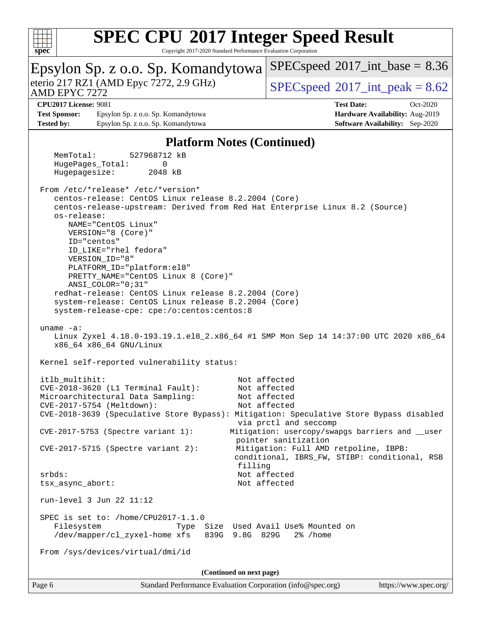

Copyright 2017-2020 Standard Performance Evaluation Corporation

| Epsylon Sp. z o.o. Sp. Komandytowa<br>eterio 217 RZ1 (AMD Epyc 7272, 2.9 GHz)<br>AMD EPYC 7272 |                                                             | $SPEC speed^{\circ}2017$ int base = 8.36                                                         |  |
|------------------------------------------------------------------------------------------------|-------------------------------------------------------------|--------------------------------------------------------------------------------------------------|--|
|                                                                                                |                                                             | $SPEC speed^{\circ}2017\_int\_peak = 8.62$                                                       |  |
| CPU2017 License: 9081                                                                          |                                                             | <b>Test Date:</b><br>Oct-2020                                                                    |  |
| <b>Test Sponsor:</b>                                                                           | Epsylon Sp. z o.o. Sp. Komandytowa                          | Hardware Availability: Aug-2019                                                                  |  |
| <b>Tested by:</b>                                                                              | Epsylon Sp. z o.o. Sp. Komandytowa                          | <b>Software Availability:</b> Sep-2020                                                           |  |
|                                                                                                | <b>Platform Notes (Continued)</b>                           |                                                                                                  |  |
| MemTotal:                                                                                      | 527968712 kB                                                |                                                                                                  |  |
| HugePages_Total:<br>Hugepagesize:                                                              | $\Omega$<br>2048 kB                                         |                                                                                                  |  |
|                                                                                                | From /etc/*release* /etc/*version*                          |                                                                                                  |  |
|                                                                                                | centos-release: CentOS Linux release 8.2.2004 (Core)        |                                                                                                  |  |
|                                                                                                |                                                             | centos-release-upstream: Derived from Red Hat Enterprise Linux 8.2 (Source)                      |  |
| os-release:                                                                                    |                                                             |                                                                                                  |  |
|                                                                                                | NAME="CentOS Linux"<br>VERSION="8 (Core)"                   |                                                                                                  |  |
|                                                                                                | ID="centos"                                                 |                                                                                                  |  |
|                                                                                                | ID LIKE="rhel fedora"                                       |                                                                                                  |  |
|                                                                                                | VERSION_ID="8"                                              |                                                                                                  |  |
|                                                                                                | PLATFORM_ID="platform:el8"                                  |                                                                                                  |  |
|                                                                                                | PRETTY_NAME="CentOS Linux 8 (Core)"                         |                                                                                                  |  |
|                                                                                                | ANSI_COLOR="0;31"                                           |                                                                                                  |  |
|                                                                                                | redhat-release: CentOS Linux release 8.2.2004 (Core)        |                                                                                                  |  |
|                                                                                                | system-release: CentOS Linux release 8.2.2004 (Core)        |                                                                                                  |  |
|                                                                                                | system-release-cpe: cpe:/o:centos:centos:8                  |                                                                                                  |  |
| uname $-a$ :                                                                                   | x86_64 x86_64 GNU/Linux                                     | Linux Zyxel 4.18.0-193.19.1.el8_2.x86_64 #1 SMP Mon Sep 14 14:37:00 UTC 2020 x86_64              |  |
|                                                                                                | Kernel self-reported vulnerability status:                  |                                                                                                  |  |
| itlb multihit:                                                                                 |                                                             | Not affected                                                                                     |  |
|                                                                                                | CVE-2018-3620 (L1 Terminal Fault):                          | Not affected                                                                                     |  |
|                                                                                                | Microarchitectural Data Sampling:                           | Not affected                                                                                     |  |
|                                                                                                | CVE-2017-5754 (Meltdown):                                   | Not affected                                                                                     |  |
|                                                                                                |                                                             | CVE-2018-3639 (Speculative Store Bypass): Mitigation: Speculative Store Bypass disabled          |  |
|                                                                                                | $CVE-2017-5753$ (Spectre variant 1):                        | via prctl and seccomp<br>Mitigation: usercopy/swapgs barriers and __user<br>pointer sanitization |  |
|                                                                                                | CVE-2017-5715 (Spectre variant 2):                          | Mitigation: Full AMD retpoline, IBPB:<br>conditional, IBRS_FW, STIBP: conditional, RSB           |  |
|                                                                                                |                                                             | filling                                                                                          |  |
| $srbds$ :                                                                                      |                                                             | Not affected                                                                                     |  |
| tsx_async_abort:                                                                               |                                                             | Not affected                                                                                     |  |
|                                                                                                | run-level 3 Jun 22 11:12                                    |                                                                                                  |  |
|                                                                                                | SPEC is set to: /home/CPU2017-1.1.0                         |                                                                                                  |  |
| Filesystem                                                                                     |                                                             | Type Size Used Avail Use% Mounted on                                                             |  |
|                                                                                                | /dev/mapper/cl_zyxel-home xfs<br>839G 9.8G 829G             | 2% /home                                                                                         |  |
|                                                                                                | From /sys/devices/virtual/dmi/id                            |                                                                                                  |  |
|                                                                                                | (Continued on next page)                                    |                                                                                                  |  |
| Page 6                                                                                         | Standard Performance Evaluation Corporation (info@spec.org) | https://www.spec.org/                                                                            |  |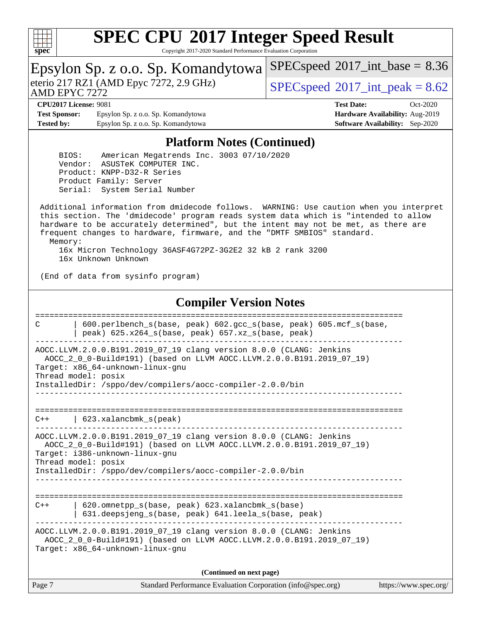

Copyright 2017-2020 Standard Performance Evaluation Corporation

|                                                                                                                                                                                                                                                                    | Epsylon Sp. z o.o. Sp. Komandytowa                                                                                                                                                                                                                                                                                                             | $SPEC speed^{\circ}2017\_int\_base = 8.36$ |                                                                                  |  |  |
|--------------------------------------------------------------------------------------------------------------------------------------------------------------------------------------------------------------------------------------------------------------------|------------------------------------------------------------------------------------------------------------------------------------------------------------------------------------------------------------------------------------------------------------------------------------------------------------------------------------------------|--------------------------------------------|----------------------------------------------------------------------------------|--|--|
| eterio 217 RZ1 (AMD Epyc 7272, 2.9 GHz)<br>AMD EPYC 7272                                                                                                                                                                                                           |                                                                                                                                                                                                                                                                                                                                                | $SPEC speed^{\circ}2017\_int\_peak = 8.62$ |                                                                                  |  |  |
| <b>CPU2017 License: 9081</b><br><b>Test Sponsor:</b><br><b>Tested by:</b>                                                                                                                                                                                          | Epsylon Sp. z o.o. Sp. Komandytowa<br>Epsylon Sp. z o.o. Sp. Komandytowa                                                                                                                                                                                                                                                                       | <b>Test Date:</b>                          | $Oct-2020$<br>Hardware Availability: Aug-2019<br>Software Availability: Sep-2020 |  |  |
|                                                                                                                                                                                                                                                                    | <b>Platform Notes (Continued)</b>                                                                                                                                                                                                                                                                                                              |                                            |                                                                                  |  |  |
|                                                                                                                                                                                                                                                                    | BIOS: American Megatrends Inc. 3003 07/10/2020<br>Vendor: ASUSTeK COMPUTER INC.<br>Product: KNPP-D32-R Series<br>Product Family: Server<br>Serial: System Serial Number                                                                                                                                                                        |                                            |                                                                                  |  |  |
| Memory:                                                                                                                                                                                                                                                            | Additional information from dmidecode follows. WARNING: Use caution when you interpret<br>this section. The 'dmidecode' program reads system data which is "intended to allow<br>hardware to be accurately determined", but the intent may not be met, as there are<br>frequent changes to hardware, firmware, and the "DMTF SMBIOS" standard. |                                            |                                                                                  |  |  |
|                                                                                                                                                                                                                                                                    | 16x Micron Technology 36ASF4G72PZ-3G2E2 32 kB 2 rank 3200<br>16x Unknown Unknown                                                                                                                                                                                                                                                               |                                            |                                                                                  |  |  |
| (End of data from sysinfo program)                                                                                                                                                                                                                                 |                                                                                                                                                                                                                                                                                                                                                |                                            |                                                                                  |  |  |
|                                                                                                                                                                                                                                                                    | <b>Compiler Version Notes</b>                                                                                                                                                                                                                                                                                                                  |                                            |                                                                                  |  |  |
| С                                                                                                                                                                                                                                                                  | 600.perlbench_s(base, peak) 602.gcc_s(base, peak) 605.mcf_s(base,<br>peak) 625.x264_s(base, peak) 657.xz_s(base, peak)                                                                                                                                                                                                                         |                                            |                                                                                  |  |  |
| Thread model: posix                                                                                                                                                                                                                                                | AOCC.LLVM.2.0.0.B191.2019_07_19 clang version 8.0.0 (CLANG: Jenkins<br>AOCC_2_0_0-Build#191) (based on LLVM AOCC.LLVM.2.0.0.B191.2019_07_19)<br>Target: x86_64-unknown-linux-gnu                                                                                                                                                               |                                            |                                                                                  |  |  |
| InstalledDir: /sppo/dev/compilers/aocc-compiler-2.0.0/bin                                                                                                                                                                                                          |                                                                                                                                                                                                                                                                                                                                                |                                            |                                                                                  |  |  |
| 623.xalancbmk_s(peak)<br>C++                                                                                                                                                                                                                                       |                                                                                                                                                                                                                                                                                                                                                |                                            |                                                                                  |  |  |
| AOCC.LLVM.2.0.0.B191.2019_07_19 clang version 8.0.0 (CLANG: Jenkins<br>AOCC_2_0_0-Build#191) (based on LLVM AOCC.LLVM.2.0.0.B191.2019_07_19)<br>Target: i386-unknown-linux-gnu<br>Thread model: posix<br>InstalledDir: /sppo/dev/compilers/aocc-compiler-2.0.0/bin |                                                                                                                                                                                                                                                                                                                                                |                                            |                                                                                  |  |  |
|                                                                                                                                                                                                                                                                    |                                                                                                                                                                                                                                                                                                                                                |                                            |                                                                                  |  |  |
| $C++$                                                                                                                                                                                                                                                              | 620.omnetpp_s(base, peak) 623.xalancbmk_s(base)<br>631.deepsjeng_s(base, peak) 641.leela_s(base, peak)                                                                                                                                                                                                                                         | --------------------------------           |                                                                                  |  |  |
| AOCC.LLVM.2.0.0.B191.2019_07_19 clang version 8.0.0 (CLANG: Jenkins<br>AOCC_2_0_0-Build#191) (based on LLVM AOCC.LLVM.2.0.0.B191.2019_07_19)<br>Target: x86_64-unknown-linux-gnu                                                                                   |                                                                                                                                                                                                                                                                                                                                                |                                            |                                                                                  |  |  |
|                                                                                                                                                                                                                                                                    | (Continued on next page)                                                                                                                                                                                                                                                                                                                       |                                            |                                                                                  |  |  |
| Page 7                                                                                                                                                                                                                                                             | Standard Performance Evaluation Corporation (info@spec.org)                                                                                                                                                                                                                                                                                    |                                            | https://www.spec.org/                                                            |  |  |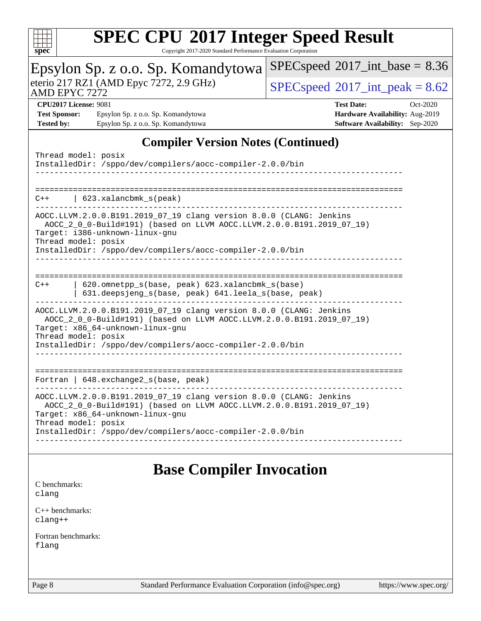

Copyright 2017-2020 Standard Performance Evaluation Corporation

| spcc                                                     | Copyright 2017-2020 Standard Ferrormance Evaluation Corporation                                                                                                                                                                                                      |                                                                                                            |
|----------------------------------------------------------|----------------------------------------------------------------------------------------------------------------------------------------------------------------------------------------------------------------------------------------------------------------------|------------------------------------------------------------------------------------------------------------|
|                                                          | Epsylon Sp. z o.o. Sp. Komandytowa                                                                                                                                                                                                                                   | $SPEC speed^{\circ}2017\_int\_base = 8.36$                                                                 |
| eterio 217 RZ1 (AMD Epyc 7272, 2.9 GHz)<br>AMD EPYC 7272 |                                                                                                                                                                                                                                                                      | $SPEC speed^{\circ}2017\_int\_peak = 8.62$                                                                 |
| <b>Test Sponsor:</b><br><b>Tested by:</b>                | <b>CPU2017 License: 9081</b><br>Epsylon Sp. z o.o. Sp. Komandytowa<br>Epsylon Sp. z o.o. Sp. Komandytowa                                                                                                                                                             | <b>Test Date:</b><br>Oct-2020<br>Hardware Availability: Aug-2019<br><b>Software Availability:</b> Sep-2020 |
|                                                          | <b>Compiler Version Notes (Continued)</b>                                                                                                                                                                                                                            |                                                                                                            |
|                                                          | Thread model: posix<br>InstalledDir: /sppo/dev/compilers/aocc-compiler-2.0.0/bin                                                                                                                                                                                     |                                                                                                            |
| $C++$                                                    | 623.xalancbmk_s(peak)                                                                                                                                                                                                                                                |                                                                                                            |
|                                                          | AOCC.LLVM.2.0.0.B191.2019 07 19 clang version 8.0.0 (CLANG: Jenkins<br>AOCC_2_0_0-Build#191) (based on LLVM AOCC.LLVM.2.0.0.B191.2019_07_19)<br>Target: i386-unknown-linux-gnu<br>Thread model: posix<br>InstalledDir: /sppo/dev/compilers/aocc-compiler-2.0.0/bin   |                                                                                                            |
| $C++$                                                    | 620.omnetpp_s(base, peak) 623.xalancbmk_s(base)                                                                                                                                                                                                                      |                                                                                                            |
|                                                          | 631.deepsjeng_s(base, peak) 641.leela_s(base, peak)                                                                                                                                                                                                                  |                                                                                                            |
|                                                          | AOCC.LLVM.2.0.0.B191.2019_07_19 clang version 8.0.0 (CLANG: Jenkins<br>AOCC_2_0_0-Build#191) (based on LLVM AOCC.LLVM.2.0.0.B191.2019_07_19)<br>Target: x86_64-unknown-linux-gnu<br>Thread model: posix<br>InstalledDir: /sppo/dev/compilers/aocc-compiler-2.0.0/bin |                                                                                                            |
|                                                          |                                                                                                                                                                                                                                                                      |                                                                                                            |
|                                                          | Fortran   648.exchange2_s(base, peak)                                                                                                                                                                                                                                |                                                                                                            |
|                                                          | AOCC.LLVM.2.0.0.B191.2019_07_19 clang version 8.0.0 (CLANG: Jenkins<br>AOCC_2_0_0-Build#191) (based on LLVM AOCC.LLVM.2.0.0.B191.2019_07_19)<br>Target: x86_64-unknown-linux-gnu<br>Thread model: posix                                                              |                                                                                                            |
|                                                          | InstalledDir: /sppo/dev/compilers/aocc-compiler-2.0.0/bin                                                                                                                                                                                                            |                                                                                                            |
|                                                          |                                                                                                                                                                                                                                                                      |                                                                                                            |

## **[Base Compiler Invocation](http://www.spec.org/auto/cpu2017/Docs/result-fields.html#BaseCompilerInvocation)**

[C benchmarks](http://www.spec.org/auto/cpu2017/Docs/result-fields.html#Cbenchmarks): [clang](http://www.spec.org/cpu2017/results/res2020q4/cpu2017-20201026-24251.flags.html#user_CCbase_clang-c)

[C++ benchmarks:](http://www.spec.org/auto/cpu2017/Docs/result-fields.html#CXXbenchmarks) [clang++](http://www.spec.org/cpu2017/results/res2020q4/cpu2017-20201026-24251.flags.html#user_CXXbase_clang-cpp)

[Fortran benchmarks](http://www.spec.org/auto/cpu2017/Docs/result-fields.html#Fortranbenchmarks): [flang](http://www.spec.org/cpu2017/results/res2020q4/cpu2017-20201026-24251.flags.html#user_FCbase_flang)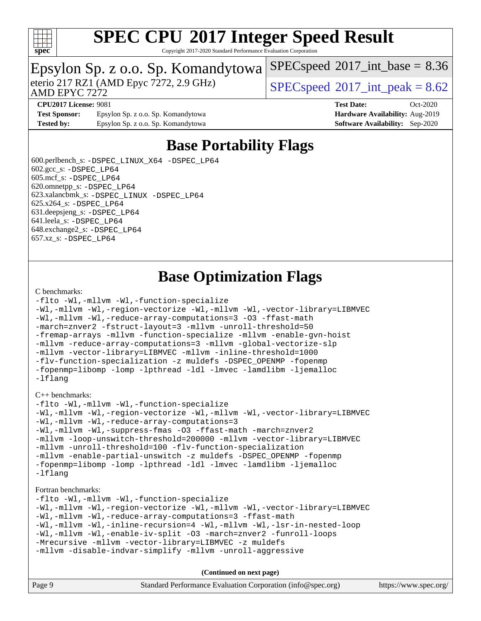

Copyright 2017-2020 Standard Performance Evaluation Corporation

## Epsylon Sp. z o.o. Sp. Komandytowa

AMD EPYC 7272

eterio 217 RZ1 (AMD Epyc 7272, 2.9 GHz)  $\text{SPEC speed} \textcircled{}2017\text{ int peak} = 8.62$ 

 $SPECspeed^{\circ}2017\_int\_base = 8.36$  $SPECspeed^{\circ}2017\_int\_base = 8.36$ 

**[CPU2017 License:](http://www.spec.org/auto/cpu2017/Docs/result-fields.html#CPU2017License)** 9081 **[Test Date:](http://www.spec.org/auto/cpu2017/Docs/result-fields.html#TestDate)** Oct-2020

**[Test Sponsor:](http://www.spec.org/auto/cpu2017/Docs/result-fields.html#TestSponsor)** Epsylon Sp. z o.o. Sp. Komandytowa **[Hardware Availability:](http://www.spec.org/auto/cpu2017/Docs/result-fields.html#HardwareAvailability)** Aug-2019 **[Tested by:](http://www.spec.org/auto/cpu2017/Docs/result-fields.html#Testedby)** Epsylon Sp. z o.o. Sp. Komandytowa **[Software Availability:](http://www.spec.org/auto/cpu2017/Docs/result-fields.html#SoftwareAvailability)** Sep-2020

### **[Base Portability Flags](http://www.spec.org/auto/cpu2017/Docs/result-fields.html#BasePortabilityFlags)**

 600.perlbench\_s: [-DSPEC\\_LINUX\\_X64](http://www.spec.org/cpu2017/results/res2020q4/cpu2017-20201026-24251.flags.html#b600.perlbench_s_basePORTABILITY_DSPEC_LINUX_X64) [-DSPEC\\_LP64](http://www.spec.org/cpu2017/results/res2020q4/cpu2017-20201026-24251.flags.html#b600.perlbench_s_baseEXTRA_PORTABILITY_DSPEC_LP64)  $602.\text{gcc}\$ : -DSPEC LP64 605.mcf\_s: [-DSPEC\\_LP64](http://www.spec.org/cpu2017/results/res2020q4/cpu2017-20201026-24251.flags.html#suite_baseEXTRA_PORTABILITY605_mcf_s_DSPEC_LP64) 620.omnetpp\_s: [-DSPEC\\_LP64](http://www.spec.org/cpu2017/results/res2020q4/cpu2017-20201026-24251.flags.html#suite_baseEXTRA_PORTABILITY620_omnetpp_s_DSPEC_LP64) 623.xalancbmk\_s: [-DSPEC\\_LINUX](http://www.spec.org/cpu2017/results/res2020q4/cpu2017-20201026-24251.flags.html#b623.xalancbmk_s_basePORTABILITY_DSPEC_LINUX) [-DSPEC\\_LP64](http://www.spec.org/cpu2017/results/res2020q4/cpu2017-20201026-24251.flags.html#suite_baseEXTRA_PORTABILITY623_xalancbmk_s_DSPEC_LP64) 625.x264\_s: [-DSPEC\\_LP64](http://www.spec.org/cpu2017/results/res2020q4/cpu2017-20201026-24251.flags.html#suite_baseEXTRA_PORTABILITY625_x264_s_DSPEC_LP64) 631.deepsjeng\_s: [-DSPEC\\_LP64](http://www.spec.org/cpu2017/results/res2020q4/cpu2017-20201026-24251.flags.html#suite_baseEXTRA_PORTABILITY631_deepsjeng_s_DSPEC_LP64) 641.leela\_s: [-DSPEC\\_LP64](http://www.spec.org/cpu2017/results/res2020q4/cpu2017-20201026-24251.flags.html#suite_baseEXTRA_PORTABILITY641_leela_s_DSPEC_LP64) 648.exchange2\_s: [-DSPEC\\_LP64](http://www.spec.org/cpu2017/results/res2020q4/cpu2017-20201026-24251.flags.html#suite_baseEXTRA_PORTABILITY648_exchange2_s_DSPEC_LP64) 657.xz\_s: [-DSPEC\\_LP64](http://www.spec.org/cpu2017/results/res2020q4/cpu2017-20201026-24251.flags.html#suite_baseEXTRA_PORTABILITY657_xz_s_DSPEC_LP64)

### **[Base Optimization Flags](http://www.spec.org/auto/cpu2017/Docs/result-fields.html#BaseOptimizationFlags)**

#### [C benchmarks](http://www.spec.org/auto/cpu2017/Docs/result-fields.html#Cbenchmarks):

```
-flto -Wl,-mllvm -Wl,-function-specialize
-Wl,-mllvm -Wl,-region-vectorize -Wl,-mllvm -Wl,-vector-library=LIBMVEC
-Wl,-mllvm -Wl,-reduce-array-computations=3 -O3 -ffast-math
-march=znver2 -fstruct-layout=3 -mllvm -unroll-threshold=50
-fremap-arrays -mllvm -function-specialize -mllvm -enable-gvn-hoist
-mllvm -reduce-array-computations=3 -mllvm -global-vectorize-slp
-mllvm -vector-library=LIBMVEC -mllvm -inline-threshold=1000
-flv-function-specialization -z muldefs -DSPEC_OPENMP -fopenmp
-fopenmp=libomp -lomp -lpthread -ldl -lmvec -lamdlibm -ljemalloc
-lflang
```
#### [C++ benchmarks:](http://www.spec.org/auto/cpu2017/Docs/result-fields.html#CXXbenchmarks)

```
-flto -Wl,-mllvm -Wl,-function-specialize
-Wl,-mllvm -Wl,-region-vectorize -Wl,-mllvm -Wl,-vector-library=LIBMVEC
-Wl,-mllvm -Wl,-reduce-array-computations=3
-Wl,-mllvm -Wl,-suppress-fmas -O3 -ffast-math -march=znver2
-mllvm -loop-unswitch-threshold=200000 -mllvm -vector-library=LIBMVEC
-mllvm -unroll-threshold=100 -flv-function-specialization
-mllvm -enable-partial-unswitch -z muldefs -DSPEC_OPENMP -fopenmp
-fopenmp=libomp -lomp -lpthread -ldl -lmvec -lamdlibm -ljemalloc
-lflang
```
#### [Fortran benchmarks](http://www.spec.org/auto/cpu2017/Docs/result-fields.html#Fortranbenchmarks):

```
-flto -Wl,-mllvm -Wl,-function-specialize
-Wl,-mllvm -Wl,-region-vectorize -Wl,-mllvm -Wl,-vector-library=LIBMVEC
-Wl,-mllvm -Wl,-reduce-array-computations=3 -ffast-math
-Wl,-mllvm -Wl,-inline-recursion=4 -Wl,-mllvm -Wl,-lsr-in-nested-loop
-Wl,-mllvm -Wl,-enable-iv-split -O3 -march=znver2 -funroll-loops
-Mrecursive -mllvm -vector-library=LIBMVEC -z muldefs
-mllvm -disable-indvar-simplify -mllvm -unroll-aggressive
```

| Page 9 | Standard Performance Evaluation Corporation (info@spec.org) | https://www.spec.org/ |
|--------|-------------------------------------------------------------|-----------------------|
|--------|-------------------------------------------------------------|-----------------------|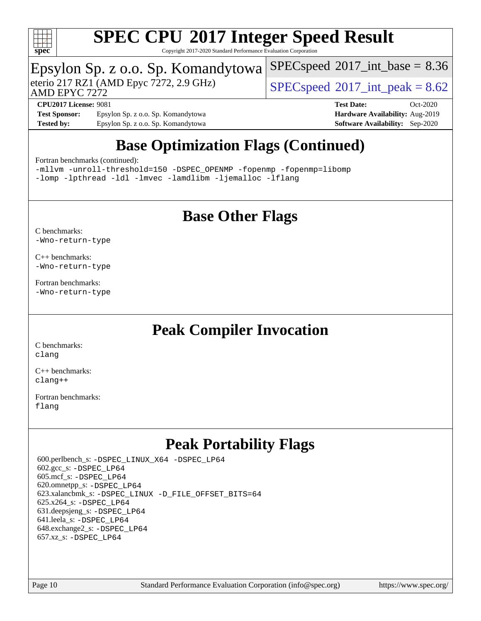

Copyright 2017-2020 Standard Performance Evaluation Corporation

# Epsylon Sp. z o.o. Sp. Komandytowa<br>eterio 217 RZ1 (AMD Epyc 7272, 2.9 GHz)

AMD EPYC 7272

 $SPECspeed@2017<sub>int</sub> peak = 8.62$  $SPECspeed@2017<sub>int</sub> peak = 8.62$ 

 $SPECspeed^{\circ}2017\_int\_base = 8.36$  $SPECspeed^{\circ}2017\_int\_base = 8.36$ 

**[Test Sponsor:](http://www.spec.org/auto/cpu2017/Docs/result-fields.html#TestSponsor)** Epsylon Sp. z o.o. Sp. Komandytowa **[Hardware Availability:](http://www.spec.org/auto/cpu2017/Docs/result-fields.html#HardwareAvailability)** Aug-2019 **[Tested by:](http://www.spec.org/auto/cpu2017/Docs/result-fields.html#Testedby)** Epsylon Sp. z o.o. Sp. Komandytowa **[Software Availability:](http://www.spec.org/auto/cpu2017/Docs/result-fields.html#SoftwareAvailability)** Sep-2020

**[CPU2017 License:](http://www.spec.org/auto/cpu2017/Docs/result-fields.html#CPU2017License)** 9081 **[Test Date:](http://www.spec.org/auto/cpu2017/Docs/result-fields.html#TestDate)** Oct-2020

## **[Base Optimization Flags \(Continued\)](http://www.spec.org/auto/cpu2017/Docs/result-fields.html#BaseOptimizationFlags)**

#### [Fortran benchmarks](http://www.spec.org/auto/cpu2017/Docs/result-fields.html#Fortranbenchmarks) (continued):

[-mllvm -unroll-threshold=150](http://www.spec.org/cpu2017/results/res2020q4/cpu2017-20201026-24251.flags.html#user_FCbase_F-unroll-threshold_3352736ce55666ed13437f5f5fd6693920e68d4dfd26bba42492bb1c46b6d7692ff5ba7bd4d2ebdab48d140ca981a39154ff0664b4d322a66fc3d1aafa4d7ffe) [-DSPEC\\_OPENMP](http://www.spec.org/cpu2017/results/res2020q4/cpu2017-20201026-24251.flags.html#suite_FCbase_DSPEC_OPENMP) [-fopenmp](http://www.spec.org/cpu2017/results/res2020q4/cpu2017-20201026-24251.flags.html#user_FCbase_aocc-fopenmp) [-fopenmp=libomp](http://www.spec.org/cpu2017/results/res2020q4/cpu2017-20201026-24251.flags.html#user_FCbase_aocc-fopenmp_3eb6ab80166bcc84161ff8c20c8d5bc344f88119f45620444596454f7d72e99b7a0ceefc2d1b4d190bd07306bbfdfc20f11f5a2dc69c9b03c72239f8406741c3) [-lomp](http://www.spec.org/cpu2017/results/res2020q4/cpu2017-20201026-24251.flags.html#user_FCbase_F-lomp) [-lpthread](http://www.spec.org/cpu2017/results/res2020q4/cpu2017-20201026-24251.flags.html#user_FCbase_F-lpthread) [-ldl](http://www.spec.org/cpu2017/results/res2020q4/cpu2017-20201026-24251.flags.html#user_FCbase_F-ldl) [-lmvec](http://www.spec.org/cpu2017/results/res2020q4/cpu2017-20201026-24251.flags.html#user_FCbase_F-lmvec) [-lamdlibm](http://www.spec.org/cpu2017/results/res2020q4/cpu2017-20201026-24251.flags.html#user_FCbase_F-lamdlibm) [-ljemalloc](http://www.spec.org/cpu2017/results/res2020q4/cpu2017-20201026-24251.flags.html#user_FCbase_jemalloc-lib) [-lflang](http://www.spec.org/cpu2017/results/res2020q4/cpu2017-20201026-24251.flags.html#user_FCbase_F-lflang)

### **[Base Other Flags](http://www.spec.org/auto/cpu2017/Docs/result-fields.html#BaseOtherFlags)**

[C benchmarks](http://www.spec.org/auto/cpu2017/Docs/result-fields.html#Cbenchmarks): [-Wno-return-type](http://www.spec.org/cpu2017/results/res2020q4/cpu2017-20201026-24251.flags.html#user_CCbase_F-Waocc-no-return-type)

[C++ benchmarks:](http://www.spec.org/auto/cpu2017/Docs/result-fields.html#CXXbenchmarks) [-Wno-return-type](http://www.spec.org/cpu2017/results/res2020q4/cpu2017-20201026-24251.flags.html#user_CXXbase_F-Waocc-no-return-type)

[Fortran benchmarks](http://www.spec.org/auto/cpu2017/Docs/result-fields.html#Fortranbenchmarks): [-Wno-return-type](http://www.spec.org/cpu2017/results/res2020q4/cpu2017-20201026-24251.flags.html#user_FCbase_F-Waocc-no-return-type)

### **[Peak Compiler Invocation](http://www.spec.org/auto/cpu2017/Docs/result-fields.html#PeakCompilerInvocation)**

[C benchmarks](http://www.spec.org/auto/cpu2017/Docs/result-fields.html#Cbenchmarks): [clang](http://www.spec.org/cpu2017/results/res2020q4/cpu2017-20201026-24251.flags.html#user_CCpeak_clang-c)

[C++ benchmarks:](http://www.spec.org/auto/cpu2017/Docs/result-fields.html#CXXbenchmarks) [clang++](http://www.spec.org/cpu2017/results/res2020q4/cpu2017-20201026-24251.flags.html#user_CXXpeak_clang-cpp)

[Fortran benchmarks](http://www.spec.org/auto/cpu2017/Docs/result-fields.html#Fortranbenchmarks): [flang](http://www.spec.org/cpu2017/results/res2020q4/cpu2017-20201026-24251.flags.html#user_FCpeak_flang)

### **[Peak Portability Flags](http://www.spec.org/auto/cpu2017/Docs/result-fields.html#PeakPortabilityFlags)**

 600.perlbench\_s: [-DSPEC\\_LINUX\\_X64](http://www.spec.org/cpu2017/results/res2020q4/cpu2017-20201026-24251.flags.html#b600.perlbench_s_peakPORTABILITY_DSPEC_LINUX_X64) [-DSPEC\\_LP64](http://www.spec.org/cpu2017/results/res2020q4/cpu2017-20201026-24251.flags.html#b600.perlbench_s_peakEXTRA_PORTABILITY_DSPEC_LP64) 602.gcc\_s: [-DSPEC\\_LP64](http://www.spec.org/cpu2017/results/res2020q4/cpu2017-20201026-24251.flags.html#suite_peakEXTRA_PORTABILITY602_gcc_s_DSPEC_LP64) 605.mcf\_s: [-DSPEC\\_LP64](http://www.spec.org/cpu2017/results/res2020q4/cpu2017-20201026-24251.flags.html#suite_peakEXTRA_PORTABILITY605_mcf_s_DSPEC_LP64) 620.omnetpp\_s: [-DSPEC\\_LP64](http://www.spec.org/cpu2017/results/res2020q4/cpu2017-20201026-24251.flags.html#suite_peakEXTRA_PORTABILITY620_omnetpp_s_DSPEC_LP64) 623.xalancbmk\_s: [-DSPEC\\_LINUX](http://www.spec.org/cpu2017/results/res2020q4/cpu2017-20201026-24251.flags.html#b623.xalancbmk_s_peakPORTABILITY_DSPEC_LINUX) [-D\\_FILE\\_OFFSET\\_BITS=64](http://www.spec.org/cpu2017/results/res2020q4/cpu2017-20201026-24251.flags.html#user_peakEXTRA_PORTABILITY623_xalancbmk_s_F-D_FILE_OFFSET_BITS_5ae949a99b284ddf4e95728d47cb0843d81b2eb0e18bdfe74bbf0f61d0b064f4bda2f10ea5eb90e1dcab0e84dbc592acfc5018bc955c18609f94ddb8d550002c) 625.x264\_s: [-DSPEC\\_LP64](http://www.spec.org/cpu2017/results/res2020q4/cpu2017-20201026-24251.flags.html#suite_peakEXTRA_PORTABILITY625_x264_s_DSPEC_LP64) 631.deepsjeng\_s: [-DSPEC\\_LP64](http://www.spec.org/cpu2017/results/res2020q4/cpu2017-20201026-24251.flags.html#suite_peakEXTRA_PORTABILITY631_deepsjeng_s_DSPEC_LP64) 641.leela\_s: [-DSPEC\\_LP64](http://www.spec.org/cpu2017/results/res2020q4/cpu2017-20201026-24251.flags.html#suite_peakEXTRA_PORTABILITY641_leela_s_DSPEC_LP64) 648.exchange2\_s: [-DSPEC\\_LP64](http://www.spec.org/cpu2017/results/res2020q4/cpu2017-20201026-24251.flags.html#suite_peakEXTRA_PORTABILITY648_exchange2_s_DSPEC_LP64) 657.xz\_s: [-DSPEC\\_LP64](http://www.spec.org/cpu2017/results/res2020q4/cpu2017-20201026-24251.flags.html#suite_peakEXTRA_PORTABILITY657_xz_s_DSPEC_LP64)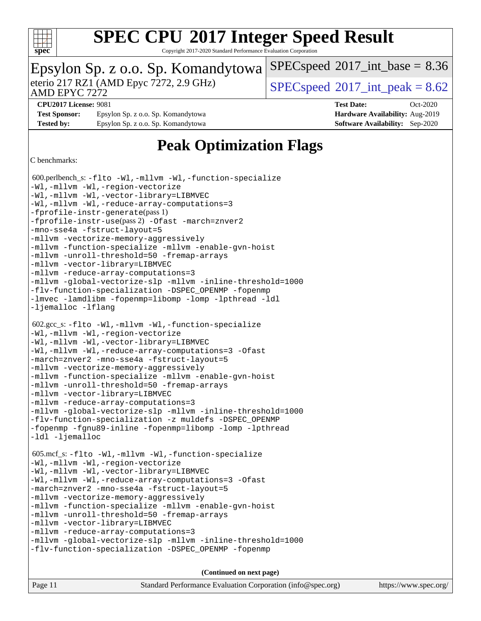

Copyright 2017-2020 Standard Performance Evaluation Corporation

| Epsylon Sp. z o.o. Sp. Komandytowa   SPECspeed®2017_int_base = 8.36 |                                    |                                                    |            |  |
|---------------------------------------------------------------------|------------------------------------|----------------------------------------------------|------------|--|
| eterio 217 RZ1 (AMD Epyc 7272, 2.9 GHz)<br>AMD EPYC 7272            |                                    | $ SPECspeed^{\circledcirc}2017\_int\_peak = 8.62 $ |            |  |
| <b>CPU2017 License: 9081</b>                                        |                                    | <b>Test Date:</b>                                  | $Oct-2020$ |  |
| <b>Test Sponsor:</b>                                                | Epsylon Sp. z o.o. Sp. Komandytowa | Hardware Availability: Aug-2019                    |            |  |
| <b>Tested by:</b>                                                   | Epsylon Sp. z o.o. Sp. Komandytowa | <b>Software Availability:</b> Sep-2020             |            |  |

### **[Peak Optimization Flags](http://www.spec.org/auto/cpu2017/Docs/result-fields.html#PeakOptimizationFlags)**

#### [C benchmarks:](http://www.spec.org/auto/cpu2017/Docs/result-fields.html#Cbenchmarks)

 600.perlbench\_s: [-flto](http://www.spec.org/cpu2017/results/res2020q4/cpu2017-20201026-24251.flags.html#user_peakCOPTIMIZELDFLAGS600_perlbench_s_aocc-flto) [-Wl,-mllvm -Wl,-function-specialize](http://www.spec.org/cpu2017/results/res2020q4/cpu2017-20201026-24251.flags.html#user_peakLDFLAGS600_perlbench_s_F-function-specialize_7e7e661e57922243ee67c9a1251cb8910e607325179a0ce7f2884e09a6f5d4a5ef0ae4f37e8a2a11c95fc48e931f06dc2b6016f14b511fcb441e048bef1b065a) [-Wl,-mllvm -Wl,-region-vectorize](http://www.spec.org/cpu2017/results/res2020q4/cpu2017-20201026-24251.flags.html#user_peakLDFLAGS600_perlbench_s_F-region-vectorize_fb6c6b5aa293c88efc6c7c2b52b20755e943585b1fe8658c35afef78727fff56e1a56891413c30e36b8e2a6f9a71126986319243e80eb6110b78b288f533c52b) [-Wl,-mllvm -Wl,-vector-library=LIBMVEC](http://www.spec.org/cpu2017/results/res2020q4/cpu2017-20201026-24251.flags.html#user_peakLDFLAGS600_perlbench_s_F-use-vector-library_0a14b27fae317f283640384a31f7bfcc2bd4c1d0b5cfc618a3a430800c9b20217b00f61303eff223a3251b4f06ffbc9739dc5296db9d1fbb9ad24a3939d86d66) [-Wl,-mllvm -Wl,-reduce-array-computations=3](http://www.spec.org/cpu2017/results/res2020q4/cpu2017-20201026-24251.flags.html#user_peakLDFLAGS600_perlbench_s_F-reduce-array-computations_b882aefe7a5dda4e33149f6299762b9a720dace3e498e13756f4c04e5a19edf5315c1f3993de2e61ec41e8c206231f84e05da7040e1bb5d69ba27d10a12507e4) [-fprofile-instr-generate](http://www.spec.org/cpu2017/results/res2020q4/cpu2017-20201026-24251.flags.html#user_peakPASS1_CFLAGSPASS1_LDFLAGS600_perlbench_s_F-fprofile-instr-generate)(pass 1) [-fprofile-instr-use](http://www.spec.org/cpu2017/results/res2020q4/cpu2017-20201026-24251.flags.html#user_peakPASS2_CFLAGSPASS2_LDFLAGS600_perlbench_s_F-fprofile-instr-use)(pass 2) [-Ofast](http://www.spec.org/cpu2017/results/res2020q4/cpu2017-20201026-24251.flags.html#user_peakCOPTIMIZE600_perlbench_s_aocc-Ofast) [-march=znver2](http://www.spec.org/cpu2017/results/res2020q4/cpu2017-20201026-24251.flags.html#user_peakCOPTIMIZE600_perlbench_s_aocc-march_3e2e19cff2eeef60c5d90b059483627c9ea47eca6d66670dbd53f9185f6439e27eb5e104cf773e9e8ab18c8842ce63e461a3e948d0214bd567ef3ade411bf467) [-mno-sse4a](http://www.spec.org/cpu2017/results/res2020q4/cpu2017-20201026-24251.flags.html#user_peakCOPTIMIZE600_perlbench_s_F-mno-sse4a) [-fstruct-layout=5](http://www.spec.org/cpu2017/results/res2020q4/cpu2017-20201026-24251.flags.html#user_peakCOPTIMIZE600_perlbench_s_F-struct-layout_0de9d3561e9f54a54e0843cce081bd13a08ab3e9a82696f3346606c2e11360c37113781019b02fa128d9f650e68f1ffd209bab5c3a026c1ad23e4e7f60646b23) [-mllvm -vectorize-memory-aggressively](http://www.spec.org/cpu2017/results/res2020q4/cpu2017-20201026-24251.flags.html#user_peakCOPTIMIZE600_perlbench_s_F-vectorize-memory-aggressively_24b72a4417f50ade9e698c5b3bed87ab456cc6fc8ec6439480cb84f36ad6a3975af6e87206dea402e3871a1464ff3d60bc798e0250f330177ba629a260df1857) [-mllvm -function-specialize](http://www.spec.org/cpu2017/results/res2020q4/cpu2017-20201026-24251.flags.html#user_peakCOPTIMIZE600_perlbench_s_F-function-specialize_233b3bdba86027f1b094368157e481c5bc59f40286dc25bfadc1858dcd5745c24fd30d5f188710db7fea399bcc9f44a80b3ce3aacc70a8870250c3ae5e1f35b8) [-mllvm -enable-gvn-hoist](http://www.spec.org/cpu2017/results/res2020q4/cpu2017-20201026-24251.flags.html#user_peakCOPTIMIZE600_perlbench_s_F-enable-gvn-hoist_e5856354646dd6ca1333a0ad99b817e4cf8932b91b82809fd8fd47ceff7b22a89eba5c98fd3e3fa5200368fd772cec3dd56abc3c8f7b655a71b9f9848dddedd5) [-mllvm -unroll-threshold=50](http://www.spec.org/cpu2017/results/res2020q4/cpu2017-20201026-24251.flags.html#user_peakCOPTIMIZE600_perlbench_s_F-unroll-threshold_458874500b2c105d6d5cb4d7a611c40e2b16e9e3d26b355fea72d644c3673b4de4b3932662f0ed3dbec75c491a13da2d2ca81180bd779dc531083ef1e1e549dc) [-fremap-arrays](http://www.spec.org/cpu2017/results/res2020q4/cpu2017-20201026-24251.flags.html#user_peakCOPTIMIZE600_perlbench_s_F-fremap-arrays) [-mllvm -vector-library=LIBMVEC](http://www.spec.org/cpu2017/results/res2020q4/cpu2017-20201026-24251.flags.html#user_peakCOPTIMIZE600_perlbench_s_F-use-vector-library_e584e20b4f7ec96aa109254b65d8e01d864f3d68580371b9d93ed7c338191d4cfce20c3c864632264effc6bbe4c7c38153d02096a342ee92501c4a53204a7871) [-mllvm -reduce-array-computations=3](http://www.spec.org/cpu2017/results/res2020q4/cpu2017-20201026-24251.flags.html#user_peakCOPTIMIZE600_perlbench_s_F-reduce-array-computations_aceadb8604558b566e0e3a0d7a3c1533923dd1fa0889614e16288028922629a28d5695c24d3b3be4306b1e311c54317dfffe3a2e57fbcaabc737a1798de39145) [-mllvm -global-vectorize-slp](http://www.spec.org/cpu2017/results/res2020q4/cpu2017-20201026-24251.flags.html#user_peakCOPTIMIZE600_perlbench_s_F-global-vectorize-slp_a3935e8627af4ced727033b1ffd4db27f4d541a363d28d82bf4c2925fb3a0fd4115d6e42d13a2829f9e024d6608eb67a85cb49770f2da5c5ac8dbc737afad603) [-mllvm -inline-threshold=1000](http://www.spec.org/cpu2017/results/res2020q4/cpu2017-20201026-24251.flags.html#user_peakCOPTIMIZE600_perlbench_s_dragonegg-llvm-inline-threshold_b7832241b0a6397e4ecdbaf0eb7defdc10f885c2a282fa3240fdc99844d543fda39cf8a4a9dccf68cf19b5438ac3b455264f478df15da0f4988afa40d8243bab) [-flv-function-specialization](http://www.spec.org/cpu2017/results/res2020q4/cpu2017-20201026-24251.flags.html#user_peakCOPTIMIZE600_perlbench_s_F-flv-function-specialization) [-DSPEC\\_OPENMP](http://www.spec.org/cpu2017/results/res2020q4/cpu2017-20201026-24251.flags.html#suite_peakEXTRA_OPTIMIZE600_perlbench_s_DSPEC_OPENMP) [-fopenmp](http://www.spec.org/cpu2017/results/res2020q4/cpu2017-20201026-24251.flags.html#user_peakEXTRA_OPTIMIZE600_perlbench_s_aocc-fopenmp) [-lmvec](http://www.spec.org/cpu2017/results/res2020q4/cpu2017-20201026-24251.flags.html#user_peakEXTRA_LIBSMATH_LIBS600_perlbench_s_F-lmvec) [-lamdlibm](http://www.spec.org/cpu2017/results/res2020q4/cpu2017-20201026-24251.flags.html#user_peakEXTRA_LIBSMATH_LIBS600_perlbench_s_F-lamdlibm) [-fopenmp=libomp](http://www.spec.org/cpu2017/results/res2020q4/cpu2017-20201026-24251.flags.html#user_peakEXTRA_LIBS600_perlbench_s_aocc-fopenmp_3eb6ab80166bcc84161ff8c20c8d5bc344f88119f45620444596454f7d72e99b7a0ceefc2d1b4d190bd07306bbfdfc20f11f5a2dc69c9b03c72239f8406741c3) [-lomp](http://www.spec.org/cpu2017/results/res2020q4/cpu2017-20201026-24251.flags.html#user_peakEXTRA_LIBS600_perlbench_s_F-lomp) [-lpthread](http://www.spec.org/cpu2017/results/res2020q4/cpu2017-20201026-24251.flags.html#user_peakEXTRA_LIBS600_perlbench_s_F-lpthread) [-ldl](http://www.spec.org/cpu2017/results/res2020q4/cpu2017-20201026-24251.flags.html#user_peakEXTRA_LIBS600_perlbench_s_F-ldl) [-ljemalloc](http://www.spec.org/cpu2017/results/res2020q4/cpu2017-20201026-24251.flags.html#user_peakEXTRA_LIBS600_perlbench_s_jemalloc-lib) [-lflang](http://www.spec.org/cpu2017/results/res2020q4/cpu2017-20201026-24251.flags.html#user_peakEXTRA_LIBS600_perlbench_s_F-lflang) 602.gcc\_s: [-flto](http://www.spec.org/cpu2017/results/res2020q4/cpu2017-20201026-24251.flags.html#user_peakCOPTIMIZELDFLAGS602_gcc_s_aocc-flto) [-Wl,-mllvm -Wl,-function-specialize](http://www.spec.org/cpu2017/results/res2020q4/cpu2017-20201026-24251.flags.html#user_peakLDFLAGS602_gcc_s_F-function-specialize_7e7e661e57922243ee67c9a1251cb8910e607325179a0ce7f2884e09a6f5d4a5ef0ae4f37e8a2a11c95fc48e931f06dc2b6016f14b511fcb441e048bef1b065a) [-Wl,-mllvm -Wl,-region-vectorize](http://www.spec.org/cpu2017/results/res2020q4/cpu2017-20201026-24251.flags.html#user_peakLDFLAGS602_gcc_s_F-region-vectorize_fb6c6b5aa293c88efc6c7c2b52b20755e943585b1fe8658c35afef78727fff56e1a56891413c30e36b8e2a6f9a71126986319243e80eb6110b78b288f533c52b) [-Wl,-mllvm -Wl,-vector-library=LIBMVEC](http://www.spec.org/cpu2017/results/res2020q4/cpu2017-20201026-24251.flags.html#user_peakLDFLAGS602_gcc_s_F-use-vector-library_0a14b27fae317f283640384a31f7bfcc2bd4c1d0b5cfc618a3a430800c9b20217b00f61303eff223a3251b4f06ffbc9739dc5296db9d1fbb9ad24a3939d86d66) [-Wl,-mllvm -Wl,-reduce-array-computations=3](http://www.spec.org/cpu2017/results/res2020q4/cpu2017-20201026-24251.flags.html#user_peakLDFLAGS602_gcc_s_F-reduce-array-computations_b882aefe7a5dda4e33149f6299762b9a720dace3e498e13756f4c04e5a19edf5315c1f3993de2e61ec41e8c206231f84e05da7040e1bb5d69ba27d10a12507e4) [-Ofast](http://www.spec.org/cpu2017/results/res2020q4/cpu2017-20201026-24251.flags.html#user_peakCOPTIMIZE602_gcc_s_aocc-Ofast) [-march=znver2](http://www.spec.org/cpu2017/results/res2020q4/cpu2017-20201026-24251.flags.html#user_peakCOPTIMIZE602_gcc_s_aocc-march_3e2e19cff2eeef60c5d90b059483627c9ea47eca6d66670dbd53f9185f6439e27eb5e104cf773e9e8ab18c8842ce63e461a3e948d0214bd567ef3ade411bf467) [-mno-sse4a](http://www.spec.org/cpu2017/results/res2020q4/cpu2017-20201026-24251.flags.html#user_peakCOPTIMIZE602_gcc_s_F-mno-sse4a) [-fstruct-layout=5](http://www.spec.org/cpu2017/results/res2020q4/cpu2017-20201026-24251.flags.html#user_peakCOPTIMIZE602_gcc_s_F-struct-layout_0de9d3561e9f54a54e0843cce081bd13a08ab3e9a82696f3346606c2e11360c37113781019b02fa128d9f650e68f1ffd209bab5c3a026c1ad23e4e7f60646b23) [-mllvm -vectorize-memory-aggressively](http://www.spec.org/cpu2017/results/res2020q4/cpu2017-20201026-24251.flags.html#user_peakCOPTIMIZE602_gcc_s_F-vectorize-memory-aggressively_24b72a4417f50ade9e698c5b3bed87ab456cc6fc8ec6439480cb84f36ad6a3975af6e87206dea402e3871a1464ff3d60bc798e0250f330177ba629a260df1857) [-mllvm -function-specialize](http://www.spec.org/cpu2017/results/res2020q4/cpu2017-20201026-24251.flags.html#user_peakCOPTIMIZE602_gcc_s_F-function-specialize_233b3bdba86027f1b094368157e481c5bc59f40286dc25bfadc1858dcd5745c24fd30d5f188710db7fea399bcc9f44a80b3ce3aacc70a8870250c3ae5e1f35b8) [-mllvm -enable-gvn-hoist](http://www.spec.org/cpu2017/results/res2020q4/cpu2017-20201026-24251.flags.html#user_peakCOPTIMIZE602_gcc_s_F-enable-gvn-hoist_e5856354646dd6ca1333a0ad99b817e4cf8932b91b82809fd8fd47ceff7b22a89eba5c98fd3e3fa5200368fd772cec3dd56abc3c8f7b655a71b9f9848dddedd5) [-mllvm -unroll-threshold=50](http://www.spec.org/cpu2017/results/res2020q4/cpu2017-20201026-24251.flags.html#user_peakCOPTIMIZE602_gcc_s_F-unroll-threshold_458874500b2c105d6d5cb4d7a611c40e2b16e9e3d26b355fea72d644c3673b4de4b3932662f0ed3dbec75c491a13da2d2ca81180bd779dc531083ef1e1e549dc) [-fremap-arrays](http://www.spec.org/cpu2017/results/res2020q4/cpu2017-20201026-24251.flags.html#user_peakCOPTIMIZE602_gcc_s_F-fremap-arrays) [-mllvm -vector-library=LIBMVEC](http://www.spec.org/cpu2017/results/res2020q4/cpu2017-20201026-24251.flags.html#user_peakCOPTIMIZE602_gcc_s_F-use-vector-library_e584e20b4f7ec96aa109254b65d8e01d864f3d68580371b9d93ed7c338191d4cfce20c3c864632264effc6bbe4c7c38153d02096a342ee92501c4a53204a7871) [-mllvm -reduce-array-computations=3](http://www.spec.org/cpu2017/results/res2020q4/cpu2017-20201026-24251.flags.html#user_peakCOPTIMIZE602_gcc_s_F-reduce-array-computations_aceadb8604558b566e0e3a0d7a3c1533923dd1fa0889614e16288028922629a28d5695c24d3b3be4306b1e311c54317dfffe3a2e57fbcaabc737a1798de39145) [-mllvm -global-vectorize-slp](http://www.spec.org/cpu2017/results/res2020q4/cpu2017-20201026-24251.flags.html#user_peakCOPTIMIZE602_gcc_s_F-global-vectorize-slp_a3935e8627af4ced727033b1ffd4db27f4d541a363d28d82bf4c2925fb3a0fd4115d6e42d13a2829f9e024d6608eb67a85cb49770f2da5c5ac8dbc737afad603) [-mllvm -inline-threshold=1000](http://www.spec.org/cpu2017/results/res2020q4/cpu2017-20201026-24251.flags.html#user_peakCOPTIMIZE602_gcc_s_dragonegg-llvm-inline-threshold_b7832241b0a6397e4ecdbaf0eb7defdc10f885c2a282fa3240fdc99844d543fda39cf8a4a9dccf68cf19b5438ac3b455264f478df15da0f4988afa40d8243bab) [-flv-function-specialization](http://www.spec.org/cpu2017/results/res2020q4/cpu2017-20201026-24251.flags.html#user_peakCOPTIMIZE602_gcc_s_F-flv-function-specialization) [-z muldefs](http://www.spec.org/cpu2017/results/res2020q4/cpu2017-20201026-24251.flags.html#user_peakLDOPTIMIZE602_gcc_s_aocc-muldefs) [-DSPEC\\_OPENMP](http://www.spec.org/cpu2017/results/res2020q4/cpu2017-20201026-24251.flags.html#suite_peakEXTRA_OPTIMIZE602_gcc_s_DSPEC_OPENMP) [-fopenmp](http://www.spec.org/cpu2017/results/res2020q4/cpu2017-20201026-24251.flags.html#user_peakEXTRA_OPTIMIZE602_gcc_s_aocc-fopenmp) [-fgnu89-inline](http://www.spec.org/cpu2017/results/res2020q4/cpu2017-20201026-24251.flags.html#user_peakEXTRA_COPTIMIZE602_gcc_s_F-fgnu89-inline) [-fopenmp=libomp](http://www.spec.org/cpu2017/results/res2020q4/cpu2017-20201026-24251.flags.html#user_peakEXTRA_LIBS602_gcc_s_aocc-fopenmp_3eb6ab80166bcc84161ff8c20c8d5bc344f88119f45620444596454f7d72e99b7a0ceefc2d1b4d190bd07306bbfdfc20f11f5a2dc69c9b03c72239f8406741c3) [-lomp](http://www.spec.org/cpu2017/results/res2020q4/cpu2017-20201026-24251.flags.html#user_peakEXTRA_LIBS602_gcc_s_F-lomp) [-lpthread](http://www.spec.org/cpu2017/results/res2020q4/cpu2017-20201026-24251.flags.html#user_peakEXTRA_LIBS602_gcc_s_F-lpthread) [-ldl](http://www.spec.org/cpu2017/results/res2020q4/cpu2017-20201026-24251.flags.html#user_peakEXTRA_LIBS602_gcc_s_F-ldl) [-ljemalloc](http://www.spec.org/cpu2017/results/res2020q4/cpu2017-20201026-24251.flags.html#user_peakEXTRA_LIBS602_gcc_s_jemalloc-lib) 605.mcf\_s: [-flto](http://www.spec.org/cpu2017/results/res2020q4/cpu2017-20201026-24251.flags.html#user_peakCOPTIMIZELDFLAGS605_mcf_s_aocc-flto) [-Wl,-mllvm -Wl,-function-specialize](http://www.spec.org/cpu2017/results/res2020q4/cpu2017-20201026-24251.flags.html#user_peakLDFLAGS605_mcf_s_F-function-specialize_7e7e661e57922243ee67c9a1251cb8910e607325179a0ce7f2884e09a6f5d4a5ef0ae4f37e8a2a11c95fc48e931f06dc2b6016f14b511fcb441e048bef1b065a) [-Wl,-mllvm -Wl,-region-vectorize](http://www.spec.org/cpu2017/results/res2020q4/cpu2017-20201026-24251.flags.html#user_peakLDFLAGS605_mcf_s_F-region-vectorize_fb6c6b5aa293c88efc6c7c2b52b20755e943585b1fe8658c35afef78727fff56e1a56891413c30e36b8e2a6f9a71126986319243e80eb6110b78b288f533c52b) [-Wl,-mllvm -Wl,-vector-library=LIBMVEC](http://www.spec.org/cpu2017/results/res2020q4/cpu2017-20201026-24251.flags.html#user_peakLDFLAGS605_mcf_s_F-use-vector-library_0a14b27fae317f283640384a31f7bfcc2bd4c1d0b5cfc618a3a430800c9b20217b00f61303eff223a3251b4f06ffbc9739dc5296db9d1fbb9ad24a3939d86d66) [-Wl,-mllvm -Wl,-reduce-array-computations=3](http://www.spec.org/cpu2017/results/res2020q4/cpu2017-20201026-24251.flags.html#user_peakLDFLAGS605_mcf_s_F-reduce-array-computations_b882aefe7a5dda4e33149f6299762b9a720dace3e498e13756f4c04e5a19edf5315c1f3993de2e61ec41e8c206231f84e05da7040e1bb5d69ba27d10a12507e4) [-Ofast](http://www.spec.org/cpu2017/results/res2020q4/cpu2017-20201026-24251.flags.html#user_peakCOPTIMIZE605_mcf_s_aocc-Ofast) [-march=znver2](http://www.spec.org/cpu2017/results/res2020q4/cpu2017-20201026-24251.flags.html#user_peakCOPTIMIZE605_mcf_s_aocc-march_3e2e19cff2eeef60c5d90b059483627c9ea47eca6d66670dbd53f9185f6439e27eb5e104cf773e9e8ab18c8842ce63e461a3e948d0214bd567ef3ade411bf467) [-mno-sse4a](http://www.spec.org/cpu2017/results/res2020q4/cpu2017-20201026-24251.flags.html#user_peakCOPTIMIZE605_mcf_s_F-mno-sse4a) [-fstruct-layout=5](http://www.spec.org/cpu2017/results/res2020q4/cpu2017-20201026-24251.flags.html#user_peakCOPTIMIZE605_mcf_s_F-struct-layout_0de9d3561e9f54a54e0843cce081bd13a08ab3e9a82696f3346606c2e11360c37113781019b02fa128d9f650e68f1ffd209bab5c3a026c1ad23e4e7f60646b23) [-mllvm -vectorize-memory-aggressively](http://www.spec.org/cpu2017/results/res2020q4/cpu2017-20201026-24251.flags.html#user_peakCOPTIMIZE605_mcf_s_F-vectorize-memory-aggressively_24b72a4417f50ade9e698c5b3bed87ab456cc6fc8ec6439480cb84f36ad6a3975af6e87206dea402e3871a1464ff3d60bc798e0250f330177ba629a260df1857) [-mllvm -function-specialize](http://www.spec.org/cpu2017/results/res2020q4/cpu2017-20201026-24251.flags.html#user_peakCOPTIMIZE605_mcf_s_F-function-specialize_233b3bdba86027f1b094368157e481c5bc59f40286dc25bfadc1858dcd5745c24fd30d5f188710db7fea399bcc9f44a80b3ce3aacc70a8870250c3ae5e1f35b8) [-mllvm -enable-gvn-hoist](http://www.spec.org/cpu2017/results/res2020q4/cpu2017-20201026-24251.flags.html#user_peakCOPTIMIZE605_mcf_s_F-enable-gvn-hoist_e5856354646dd6ca1333a0ad99b817e4cf8932b91b82809fd8fd47ceff7b22a89eba5c98fd3e3fa5200368fd772cec3dd56abc3c8f7b655a71b9f9848dddedd5) [-mllvm -unroll-threshold=50](http://www.spec.org/cpu2017/results/res2020q4/cpu2017-20201026-24251.flags.html#user_peakCOPTIMIZE605_mcf_s_F-unroll-threshold_458874500b2c105d6d5cb4d7a611c40e2b16e9e3d26b355fea72d644c3673b4de4b3932662f0ed3dbec75c491a13da2d2ca81180bd779dc531083ef1e1e549dc) [-fremap-arrays](http://www.spec.org/cpu2017/results/res2020q4/cpu2017-20201026-24251.flags.html#user_peakCOPTIMIZE605_mcf_s_F-fremap-arrays) [-mllvm -vector-library=LIBMVEC](http://www.spec.org/cpu2017/results/res2020q4/cpu2017-20201026-24251.flags.html#user_peakCOPTIMIZE605_mcf_s_F-use-vector-library_e584e20b4f7ec96aa109254b65d8e01d864f3d68580371b9d93ed7c338191d4cfce20c3c864632264effc6bbe4c7c38153d02096a342ee92501c4a53204a7871) [-mllvm -reduce-array-computations=3](http://www.spec.org/cpu2017/results/res2020q4/cpu2017-20201026-24251.flags.html#user_peakCOPTIMIZE605_mcf_s_F-reduce-array-computations_aceadb8604558b566e0e3a0d7a3c1533923dd1fa0889614e16288028922629a28d5695c24d3b3be4306b1e311c54317dfffe3a2e57fbcaabc737a1798de39145) [-mllvm -global-vectorize-slp](http://www.spec.org/cpu2017/results/res2020q4/cpu2017-20201026-24251.flags.html#user_peakCOPTIMIZE605_mcf_s_F-global-vectorize-slp_a3935e8627af4ced727033b1ffd4db27f4d541a363d28d82bf4c2925fb3a0fd4115d6e42d13a2829f9e024d6608eb67a85cb49770f2da5c5ac8dbc737afad603) [-mllvm -inline-threshold=1000](http://www.spec.org/cpu2017/results/res2020q4/cpu2017-20201026-24251.flags.html#user_peakCOPTIMIZE605_mcf_s_dragonegg-llvm-inline-threshold_b7832241b0a6397e4ecdbaf0eb7defdc10f885c2a282fa3240fdc99844d543fda39cf8a4a9dccf68cf19b5438ac3b455264f478df15da0f4988afa40d8243bab) [-flv-function-specialization](http://www.spec.org/cpu2017/results/res2020q4/cpu2017-20201026-24251.flags.html#user_peakCOPTIMIZE605_mcf_s_F-flv-function-specialization) [-DSPEC\\_OPENMP](http://www.spec.org/cpu2017/results/res2020q4/cpu2017-20201026-24251.flags.html#suite_peakEXTRA_OPTIMIZE605_mcf_s_DSPEC_OPENMP) [-fopenmp](http://www.spec.org/cpu2017/results/res2020q4/cpu2017-20201026-24251.flags.html#user_peakEXTRA_OPTIMIZE605_mcf_s_aocc-fopenmp)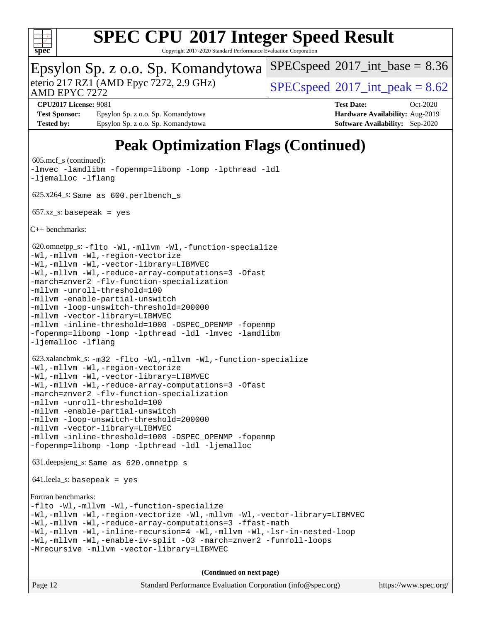

Copyright 2017-2020 Standard Performance Evaluation Corporation

|                                                               | Epsylon Sp. z o.o. Sp. Komandytowa                    | $SPEC speed^{\circ}2017\_int\_base = 8.36$ |            |
|---------------------------------------------------------------|-------------------------------------------------------|--------------------------------------------|------------|
| eterio 217 RZ1 (AMD Epyc 7272, 2.9 GHz)<br>AMD EPYC 7272      |                                                       | $SPEC speed^{\circ}2017\_int\_peak = 8.62$ |            |
| <b>CPU2017 License: 9081</b>                                  |                                                       | <b>Test Date:</b>                          | $Oct-2020$ |
| <b>Test Sponsor:</b>                                          | Epsylon Sp. z o.o. Sp. Komandytowa                    | Hardware Availability: Aug-2019            |            |
| <b>Tested by:</b>                                             | Epsylon Sp. z o.o. Sp. Komandytowa                    | <b>Software Availability:</b> Sep-2020     |            |
|                                                               | <b>Peak Optimization Flags (Continued)</b>            |                                            |            |
| $605 \text{.mcf}\text{ s}$ (continued):<br>-ljemalloc -lflang | -lmvec -lamdlibm -fopenmp=libomp -lomp -lpthread -ldl |                                            |            |

625.x264\_s: Same as 600.perlbench\_s

 $657.xz$  s: basepeak = yes

[C++ benchmarks](http://www.spec.org/auto/cpu2017/Docs/result-fields.html#CXXbenchmarks):

 620.omnetpp\_s: [-flto](http://www.spec.org/cpu2017/results/res2020q4/cpu2017-20201026-24251.flags.html#user_peakCXXOPTIMIZELDFLAGS620_omnetpp_s_aocc-flto) [-Wl,-mllvm -Wl,-function-specialize](http://www.spec.org/cpu2017/results/res2020q4/cpu2017-20201026-24251.flags.html#user_peakLDFLAGS620_omnetpp_s_F-function-specialize_7e7e661e57922243ee67c9a1251cb8910e607325179a0ce7f2884e09a6f5d4a5ef0ae4f37e8a2a11c95fc48e931f06dc2b6016f14b511fcb441e048bef1b065a) [-Wl,-mllvm -Wl,-region-vectorize](http://www.spec.org/cpu2017/results/res2020q4/cpu2017-20201026-24251.flags.html#user_peakLDFLAGS620_omnetpp_s_F-region-vectorize_fb6c6b5aa293c88efc6c7c2b52b20755e943585b1fe8658c35afef78727fff56e1a56891413c30e36b8e2a6f9a71126986319243e80eb6110b78b288f533c52b)

[-Wl,-mllvm -Wl,-vector-library=LIBMVEC](http://www.spec.org/cpu2017/results/res2020q4/cpu2017-20201026-24251.flags.html#user_peakLDFLAGS620_omnetpp_s_F-use-vector-library_0a14b27fae317f283640384a31f7bfcc2bd4c1d0b5cfc618a3a430800c9b20217b00f61303eff223a3251b4f06ffbc9739dc5296db9d1fbb9ad24a3939d86d66)

[-Wl,-mllvm -Wl,-reduce-array-computations=3](http://www.spec.org/cpu2017/results/res2020q4/cpu2017-20201026-24251.flags.html#user_peakLDFLAGS620_omnetpp_s_F-reduce-array-computations_b882aefe7a5dda4e33149f6299762b9a720dace3e498e13756f4c04e5a19edf5315c1f3993de2e61ec41e8c206231f84e05da7040e1bb5d69ba27d10a12507e4) [-Ofast](http://www.spec.org/cpu2017/results/res2020q4/cpu2017-20201026-24251.flags.html#user_peakCXXOPTIMIZE620_omnetpp_s_aocc-Ofast) [-march=znver2](http://www.spec.org/cpu2017/results/res2020q4/cpu2017-20201026-24251.flags.html#user_peakCXXOPTIMIZE620_omnetpp_s_aocc-march_3e2e19cff2eeef60c5d90b059483627c9ea47eca6d66670dbd53f9185f6439e27eb5e104cf773e9e8ab18c8842ce63e461a3e948d0214bd567ef3ade411bf467) [-flv-function-specialization](http://www.spec.org/cpu2017/results/res2020q4/cpu2017-20201026-24251.flags.html#user_peakCXXOPTIMIZE620_omnetpp_s_F-flv-function-specialization) [-mllvm -unroll-threshold=100](http://www.spec.org/cpu2017/results/res2020q4/cpu2017-20201026-24251.flags.html#user_peakCXXOPTIMIZE620_omnetpp_s_F-unroll-threshold_2755d0c78138845d361fa1543e3a063fffa198df9b3edf0cfb856bbc88a81e1769b12ac7a550c5d35197be55360db1a3f95a8d1304df999456cabf5120c45168)

[-mllvm -enable-partial-unswitch](http://www.spec.org/cpu2017/results/res2020q4/cpu2017-20201026-24251.flags.html#user_peakCXXOPTIMIZE620_omnetpp_s_F-enable-partial-unswitch_6e1c33f981d77963b1eaf834973128a7f33ce3f8e27f54689656697a35e89dcc875281e0e6283d043e32f367dcb605ba0e307a92e830f7e326789fa6c61b35d3)

[-mllvm -loop-unswitch-threshold=200000](http://www.spec.org/cpu2017/results/res2020q4/cpu2017-20201026-24251.flags.html#user_peakCXXOPTIMIZE620_omnetpp_s_F-loop-unswitch-threshold_f9a82ae3270e55b5fbf79d0d96ee93606b73edbbe527d20b18b7bff1a3a146ad50cfc7454c5297978340ae9213029016a7d16221274d672d3f7f42ed25274e1d)

[-mllvm -vector-library=LIBMVEC](http://www.spec.org/cpu2017/results/res2020q4/cpu2017-20201026-24251.flags.html#user_peakCXXOPTIMIZE620_omnetpp_s_F-use-vector-library_e584e20b4f7ec96aa109254b65d8e01d864f3d68580371b9d93ed7c338191d4cfce20c3c864632264effc6bbe4c7c38153d02096a342ee92501c4a53204a7871)

[-mllvm -inline-threshold=1000](http://www.spec.org/cpu2017/results/res2020q4/cpu2017-20201026-24251.flags.html#user_peakCXXOPTIMIZE620_omnetpp_s_dragonegg-llvm-inline-threshold_b7832241b0a6397e4ecdbaf0eb7defdc10f885c2a282fa3240fdc99844d543fda39cf8a4a9dccf68cf19b5438ac3b455264f478df15da0f4988afa40d8243bab) -DSPEC OPENMP [-fopenmp](http://www.spec.org/cpu2017/results/res2020q4/cpu2017-20201026-24251.flags.html#user_peakEXTRA_OPTIMIZE620_omnetpp_s_aocc-fopenmp) [-fopenmp=libomp](http://www.spec.org/cpu2017/results/res2020q4/cpu2017-20201026-24251.flags.html#user_peakEXTRA_LIBS620_omnetpp_s_aocc-fopenmp_3eb6ab80166bcc84161ff8c20c8d5bc344f88119f45620444596454f7d72e99b7a0ceefc2d1b4d190bd07306bbfdfc20f11f5a2dc69c9b03c72239f8406741c3) [-lomp](http://www.spec.org/cpu2017/results/res2020q4/cpu2017-20201026-24251.flags.html#user_peakEXTRA_LIBS620_omnetpp_s_F-lomp) [-lpthread](http://www.spec.org/cpu2017/results/res2020q4/cpu2017-20201026-24251.flags.html#user_peakEXTRA_LIBS620_omnetpp_s_F-lpthread) [-ldl](http://www.spec.org/cpu2017/results/res2020q4/cpu2017-20201026-24251.flags.html#user_peakEXTRA_LIBS620_omnetpp_s_F-ldl) [-lmvec](http://www.spec.org/cpu2017/results/res2020q4/cpu2017-20201026-24251.flags.html#user_peakEXTRA_LIBS620_omnetpp_s_F-lmvec) [-lamdlibm](http://www.spec.org/cpu2017/results/res2020q4/cpu2017-20201026-24251.flags.html#user_peakEXTRA_LIBS620_omnetpp_s_F-lamdlibm) [-ljemalloc](http://www.spec.org/cpu2017/results/res2020q4/cpu2017-20201026-24251.flags.html#user_peakEXTRA_LIBS620_omnetpp_s_jemalloc-lib) [-lflang](http://www.spec.org/cpu2017/results/res2020q4/cpu2017-20201026-24251.flags.html#user_peakEXTRA_LIBS620_omnetpp_s_F-lflang)

```
 623.xalancbmk_s: -m32 -flto -Wl,-mllvm -Wl,-function-specialize
-Wl,-mllvm -Wl,-region-vectorize
-Wl,-mllvm -Wl,-vector-library=LIBMVEC
```
[-Wl,-mllvm -Wl,-reduce-array-computations=3](http://www.spec.org/cpu2017/results/res2020q4/cpu2017-20201026-24251.flags.html#user_peakLDFLAGS623_xalancbmk_s_F-reduce-array-computations_b882aefe7a5dda4e33149f6299762b9a720dace3e498e13756f4c04e5a19edf5315c1f3993de2e61ec41e8c206231f84e05da7040e1bb5d69ba27d10a12507e4) [-Ofast](http://www.spec.org/cpu2017/results/res2020q4/cpu2017-20201026-24251.flags.html#user_peakCXXOPTIMIZE623_xalancbmk_s_aocc-Ofast) [-march=znver2](http://www.spec.org/cpu2017/results/res2020q4/cpu2017-20201026-24251.flags.html#user_peakCXXOPTIMIZE623_xalancbmk_s_aocc-march_3e2e19cff2eeef60c5d90b059483627c9ea47eca6d66670dbd53f9185f6439e27eb5e104cf773e9e8ab18c8842ce63e461a3e948d0214bd567ef3ade411bf467) [-flv-function-specialization](http://www.spec.org/cpu2017/results/res2020q4/cpu2017-20201026-24251.flags.html#user_peakCXXOPTIMIZE623_xalancbmk_s_F-flv-function-specialization) [-mllvm -unroll-threshold=100](http://www.spec.org/cpu2017/results/res2020q4/cpu2017-20201026-24251.flags.html#user_peakCXXOPTIMIZE623_xalancbmk_s_F-unroll-threshold_2755d0c78138845d361fa1543e3a063fffa198df9b3edf0cfb856bbc88a81e1769b12ac7a550c5d35197be55360db1a3f95a8d1304df999456cabf5120c45168) [-mllvm -enable-partial-unswitch](http://www.spec.org/cpu2017/results/res2020q4/cpu2017-20201026-24251.flags.html#user_peakCXXOPTIMIZE623_xalancbmk_s_F-enable-partial-unswitch_6e1c33f981d77963b1eaf834973128a7f33ce3f8e27f54689656697a35e89dcc875281e0e6283d043e32f367dcb605ba0e307a92e830f7e326789fa6c61b35d3)

```
-mllvm -loop-unswitch-threshold=200000
```
[-mllvm -vector-library=LIBMVEC](http://www.spec.org/cpu2017/results/res2020q4/cpu2017-20201026-24251.flags.html#user_peakCXXOPTIMIZE623_xalancbmk_s_F-use-vector-library_e584e20b4f7ec96aa109254b65d8e01d864f3d68580371b9d93ed7c338191d4cfce20c3c864632264effc6bbe4c7c38153d02096a342ee92501c4a53204a7871)

```
-mllvm -inline-threshold=1000 -DSPEC_OPENMP -fopenmp
-fopenmp=libomp -lomp -lpthread -ldl -ljemalloc
```
631.deepsjeng\_s: Same as 620.omnetpp\_s

641.leela\_s: basepeak = yes

```
Fortran benchmarks:
```

```
-flto -Wl,-mllvm -Wl,-function-specialize
-Wl,-mllvm -Wl,-region-vectorize -Wl,-mllvm -Wl,-vector-library=LIBMVEC
-Wl,-mllvm -Wl,-reduce-array-computations=3 -ffast-math
-Wl,-mllvm -Wl,-inline-recursion=4 -Wl,-mllvm -Wl,-lsr-in-nested-loop
-Wl,-mllvm -Wl,-enable-iv-split -O3 -march=znver2 -funroll-loops
-Mrecursive -mllvm -vector-library=LIBMVEC
```

| Page 12 | Standard Performance Evaluation Corporation (info@spec.org) | https://www.spec.org/ |
|---------|-------------------------------------------------------------|-----------------------|
|---------|-------------------------------------------------------------|-----------------------|